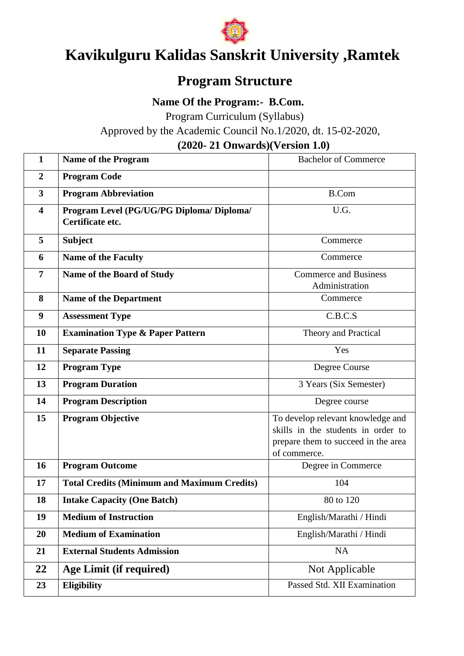

# **Kavikulguru Kalidas Sanskrit University ,Ramtek**

# **Program Structure**

 **Name Of the Program:- B.Com.**

Program Curriculum (Syllabus)

Approved by the Academic Council No.1/2020, dt. 15-02-2020,

**(2020- 21 Onwards)(Version 1.0)**

| $\mathbf{1}$            | <b>Name of the Program</b>                                    | <b>Bachelor of Commerce</b>                                                                                                    |
|-------------------------|---------------------------------------------------------------|--------------------------------------------------------------------------------------------------------------------------------|
| $\boldsymbol{2}$        | <b>Program Code</b>                                           |                                                                                                                                |
| $\overline{3}$          | <b>Program Abbreviation</b>                                   | <b>B.Com</b>                                                                                                                   |
| $\overline{\mathbf{4}}$ | Program Level (PG/UG/PG Diploma/ Diploma/<br>Certificate etc. | U.G.                                                                                                                           |
| 5                       | <b>Subject</b>                                                | Commerce                                                                                                                       |
| 6                       | <b>Name of the Faculty</b>                                    | Commerce                                                                                                                       |
| $\overline{7}$          | Name of the Board of Study                                    | <b>Commerce and Business</b><br>Administration                                                                                 |
| 8                       | <b>Name of the Department</b>                                 | Commerce                                                                                                                       |
| $\boldsymbol{9}$        | <b>Assessment Type</b>                                        | C.B.C.S                                                                                                                        |
| 10                      | <b>Examination Type &amp; Paper Pattern</b>                   | Theory and Practical                                                                                                           |
| 11                      | <b>Separate Passing</b>                                       | Yes                                                                                                                            |
| 12                      | <b>Program Type</b>                                           | Degree Course                                                                                                                  |
| 13                      | <b>Program Duration</b>                                       | 3 Years (Six Semester)                                                                                                         |
| 14                      | <b>Program Description</b>                                    | Degree course                                                                                                                  |
| 15                      | <b>Program Objective</b>                                      | To develop relevant knowledge and<br>skills in the students in order to<br>prepare them to succeed in the area<br>of commerce. |
| 16                      | <b>Program Outcome</b>                                        | Degree in Commerce                                                                                                             |
| 17                      | <b>Total Credits (Minimum and Maximum Credits)</b>            | 104                                                                                                                            |
| 18                      | <b>Intake Capacity (One Batch)</b>                            | 80 to 120                                                                                                                      |
| 19                      | <b>Medium of Instruction</b>                                  | English/Marathi / Hindi                                                                                                        |
| 20                      | <b>Medium of Examination</b>                                  | English/Marathi / Hindi                                                                                                        |
| 21                      | <b>External Students Admission</b>                            | <b>NA</b>                                                                                                                      |
| 22                      | Age Limit (if required)                                       | Not Applicable                                                                                                                 |
| 23                      | <b>Eligibility</b>                                            | Passed Std. XII Examination                                                                                                    |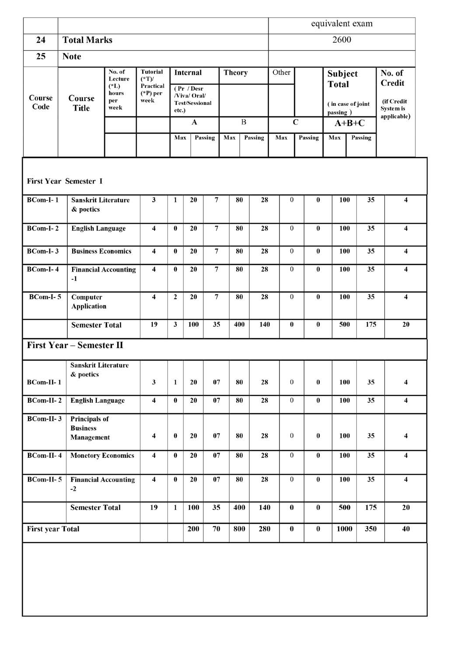|                         |                                                |                                                     |                                                              |              |                                                                        |                 |               |              | equivalent exam |                  |                         |                                |                   |                                                    |
|-------------------------|------------------------------------------------|-----------------------------------------------------|--------------------------------------------------------------|--------------|------------------------------------------------------------------------|-----------------|---------------|--------------|-----------------|------------------|-------------------------|--------------------------------|-------------------|----------------------------------------------------|
| 24                      | <b>Total Marks</b>                             |                                                     |                                                              |              |                                                                        |                 |               |              |                 | 2600             |                         |                                |                   |                                                    |
| 25                      | <b>Note</b>                                    |                                                     |                                                              |              |                                                                        |                 |               |              |                 |                  |                         |                                |                   |                                                    |
| Course<br>Code          | Course<br><b>Title</b>                         | No. of<br>Lecture<br>$(*L)$<br>hours<br>per<br>week | <b>Tutorial</b><br>$(*T)$<br>Practical<br>$(*P)$ per<br>week |              | <b>Internal</b><br>(Pr / Desr<br>/Viva/ Oral/<br><b>Test/Sessional</b> |                 | <b>Theory</b> |              | Other           |                  |                         | <b>Subject</b><br><b>Total</b> | (in case of joint | No. of<br>Credit<br>(if Credit<br><b>System is</b> |
|                         |                                                |                                                     |                                                              | etc.)        | $\mathbf A$                                                            |                 |               | $\, {\bf B}$ |                 |                  | $\mathbf C$             | passing)                       | $A+B+C$           | applicable)                                        |
|                         |                                                |                                                     |                                                              | Max          |                                                                        | Passing         | Max           | Passing      | Max             |                  | Passing                 | Max                            | Passing           |                                                    |
|                         |                                                |                                                     |                                                              |              |                                                                        |                 |               |              |                 |                  |                         |                                |                   |                                                    |
|                         | <b>First Year Semester I</b>                   |                                                     |                                                              |              |                                                                        |                 |               |              |                 |                  |                         |                                |                   |                                                    |
| <b>BCom-I-1</b>         | <b>Sanskrit Literature</b><br>& poetics        |                                                     | $\mathbf{3}$                                                 | $\mathbf{1}$ | 20                                                                     | 7               | 80            |              | 28              | $\overline{0}$   | $\bf{0}$                | 100                            | 35                | $\overline{\mathbf{4}}$                            |
| $BCom-I-2$              | <b>English Language</b>                        |                                                     | 4                                                            | $\bf{0}$     | 20                                                                     | $\overline{7}$  | 80            |              | 28              | $\overline{0}$   | $\bf{0}$                | 100                            | $\overline{35}$   | $\overline{\mathbf{4}}$                            |
| <b>BCom-I-3</b>         | <b>Business Economics</b>                      |                                                     | 4                                                            | $\bf{0}$     | 20                                                                     | 7               | 80            |              | 28              | $\overline{0}$   | $\bf{0}$                | 100                            | 35                | $\overline{\mathbf{4}}$                            |
| <b>BCom-I-4</b>         | $-1$                                           | <b>Financial Accounting</b>                         | $\overline{\mathbf{4}}$                                      | $\bf{0}$     | 20                                                                     | $\overline{7}$  | 80            |              | 28              | $\overline{0}$   | $\bf{0}$                | 100                            | 35                | $\overline{\mathbf{4}}$                            |
| $BCom-I-5$              | Computer<br><b>Application</b>                 |                                                     | $\overline{\mathbf{4}}$                                      | $\mathbf{2}$ | 20                                                                     | $\overline{7}$  | 80            |              | 28              | $\overline{0}$   | $\bf{0}$                | 100                            | 35                | $\overline{\mathbf{4}}$                            |
|                         | <b>Semester Total</b>                          |                                                     | 19                                                           | 3            | 100                                                                    | 35              | 400           |              | 140             | $\bf{0}$         | $\bf{0}$                | 500                            | 175               | 20                                                 |
|                         | <b>First Year – Semester II</b>                |                                                     |                                                              |              |                                                                        |                 |               |              |                 |                  |                         |                                |                   |                                                    |
| <b>BCom-II-1</b>        | Sanskrit Literature<br>& poetics               |                                                     | $\mathbf{3}$                                                 | $\mathbf{1}$ | 20                                                                     | 07              | 80            |              | 28              | $\boldsymbol{0}$ | $\bf{0}$                | 100                            | 35                | 4                                                  |
| <b>BCom-II-2</b>        | <b>English Language</b>                        |                                                     | $\overline{\mathbf{4}}$                                      | $\bf{0}$     | 20                                                                     | $\overline{07}$ | 80            |              | 28              | $\overline{0}$   | $\bf{0}$                | 100                            | 35                | $\overline{\mathbf{4}}$                            |
| <b>BCom-II-3</b>        | Principals of<br><b>Business</b><br>Management |                                                     | $\overline{\mathbf{4}}$                                      | $\pmb{0}$    | 20                                                                     | 07              | 80            |              | 28              | $\boldsymbol{0}$ | $\pmb{0}$               | 100                            | 35                | $\overline{\mathbf{4}}$                            |
| <b>BCom-II-4</b>        |                                                | <b>Monetory Economics</b>                           | $\overline{\mathbf{4}}$                                      | $\pmb{0}$    | 20                                                                     | 07              | 80            |              | 28              | $\boldsymbol{0}$ | $\overline{\mathbf{0}}$ | 100                            | 35                | $\overline{4}$                                     |
| <b>BCom-II-5</b>        | $-2$                                           | <b>Financial Accounting</b>                         | $\overline{\mathbf{4}}$                                      | $\bf{0}$     | 20                                                                     | 07              | 80            |              | 28              | $\boldsymbol{0}$ | $\pmb{0}$               | 100                            | 35                | $\overline{\mathbf{4}}$                            |
|                         | <b>Semester Total</b>                          |                                                     | 19                                                           | $\mathbf{1}$ | 100                                                                    | 35              | 400           |              | 140             | $\bf{0}$         | $\pmb{0}$               | 500                            | 175               | 20                                                 |
| <b>First year Total</b> |                                                |                                                     |                                                              |              | 200                                                                    | 70              | 800           |              | 280             | $\pmb{0}$        | $\bf{0}$                | 1000                           | 350               | 40                                                 |
|                         |                                                |                                                     |                                                              |              |                                                                        |                 |               |              |                 |                  |                         |                                |                   |                                                    |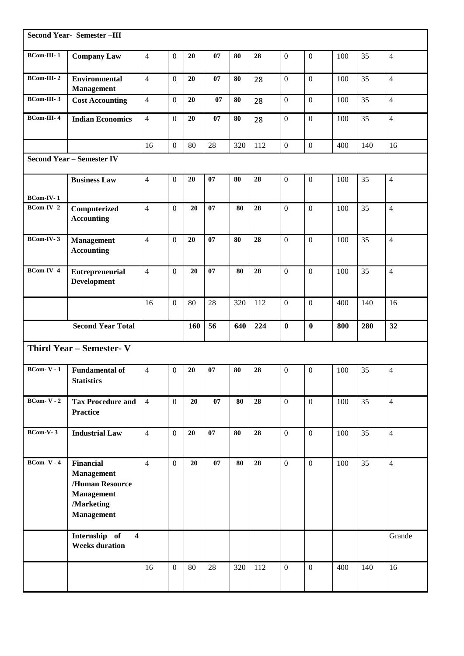|                   | <b>Second Year- Semester-III</b>                                                                          |                |                  |     |    |     |     |                  |                  |     |     |                |
|-------------------|-----------------------------------------------------------------------------------------------------------|----------------|------------------|-----|----|-----|-----|------------------|------------------|-----|-----|----------------|
| <b>BCom-III-1</b> | <b>Company Law</b>                                                                                        | $\overline{4}$ | $\mathbf{0}$     | 20  | 07 | 80  | 28  | $\boldsymbol{0}$ | $\boldsymbol{0}$ | 100 | 35  | 4              |
| $BCom-III-2$      | <b>Environmental</b><br><b>Management</b>                                                                 | $\overline{4}$ | $\mathbf{0}$     | 20  | 07 | 80  | 28  | $\mathbf{0}$     | $\mathbf{0}$     | 100 | 35  | $\overline{4}$ |
| <b>BCom-III-3</b> | <b>Cost Accounting</b>                                                                                    | $\overline{4}$ | $\mathbf{0}$     | 20  | 07 | 80  | 28  | $\boldsymbol{0}$ | $\mathbf{0}$     | 100 | 35  | $\overline{4}$ |
| <b>BCom-III-4</b> | <b>Indian Economics</b>                                                                                   | $\overline{4}$ | $\mathbf{0}$     | 20  | 07 | 80  | 28  | $\boldsymbol{0}$ | $\mathbf{0}$     | 100 | 35  | $\overline{4}$ |
|                   |                                                                                                           | 16             | $\mathbf{0}$     | 80  | 28 | 320 | 112 | $\boldsymbol{0}$ | $\boldsymbol{0}$ | 400 | 140 | 16             |
|                   | <b>Second Year - Semester IV</b>                                                                          |                |                  |     |    |     |     |                  |                  |     |     |                |
| <b>BCom-IV-1</b>  | <b>Business Law</b>                                                                                       | $\overline{4}$ | $\mathbf{0}$     | 20  | 07 | 80  | 28  | $\boldsymbol{0}$ | $\mathbf{0}$     | 100 | 35  | $\overline{4}$ |
| BCom-IV-2         | Computerized<br><b>Accounting</b>                                                                         | $\overline{4}$ | $\mathbf{0}$     | 20  | 07 | 80  | 28  | $\mathbf{0}$     | $\mathbf{0}$     | 100 | 35  | $\overline{4}$ |
| BCom-IV-3         | Management<br><b>Accounting</b>                                                                           | $\overline{4}$ | $\mathbf{0}$     | 20  | 07 | 80  | 28  | $\boldsymbol{0}$ | $\mathbf{0}$     | 100 | 35  | $\overline{4}$ |
| BCom-IV-4         | <b>Entrepreneurial</b><br><b>Development</b>                                                              | $\overline{4}$ | $\mathbf{0}$     | 20  | 07 | 80  | 28  | $\mathbf{0}$     | $\mathbf{0}$     | 100 | 35  | $\overline{4}$ |
|                   |                                                                                                           | 16             | $\mathbf{0}$     | 80  | 28 | 320 | 112 | $\mathbf{0}$     | $\mathbf{0}$     | 400 | 140 | 16             |
|                   | <b>Second Year Total</b>                                                                                  |                |                  | 160 | 56 | 640 | 224 | $\bf{0}$         | $\boldsymbol{0}$ | 800 | 280 | 32             |
|                   | Third Year - Semester- V                                                                                  |                |                  |     |    |     |     |                  |                  |     |     |                |
| $BCom-V-1$        | <b>Fundamental of</b><br><b>Statistics</b>                                                                | $\overline{4}$ | $\boldsymbol{0}$ | 20  | 07 | 80  | 28  | $\boldsymbol{0}$ | $\boldsymbol{0}$ | 100 | 35  | 4              |
| $BCom-V - 2$      | <b>Tax Procedure and</b><br><b>Practice</b>                                                               | $\overline{4}$ | $\overline{0}$   | 20  | 07 | 80  | 28  | $\mathbf{0}$     | $\mathbf{0}$     | 100 | 35  | $\overline{4}$ |
| BCom-V-3          | <b>Industrial Law</b>                                                                                     | $\overline{4}$ | $\overline{0}$   | 20  | 07 | 80  | 28  | $\mathbf{0}$     | $\mathbf{0}$     | 100 | 35  | $\overline{4}$ |
| $BCom-V - 4$      | <b>Financial</b><br><b>Management</b><br>/Human Resource<br>Management<br>/Marketing<br><b>Management</b> | $\overline{4}$ | $\mathbf{0}$     | 20  | 07 | 80  | 28  | $\mathbf{0}$     | $\boldsymbol{0}$ | 100 | 35  | $\overline{4}$ |
|                   | Internship of<br>$\overline{\mathbf{4}}$<br><b>Weeks duration</b>                                         |                |                  |     |    |     |     |                  |                  |     |     | Grande         |
|                   |                                                                                                           | 16             | $\mathbf{0}$     | 80  | 28 | 320 | 112 | $\mathbf{0}$     | $\mathbf{0}$     | 400 | 140 | 16             |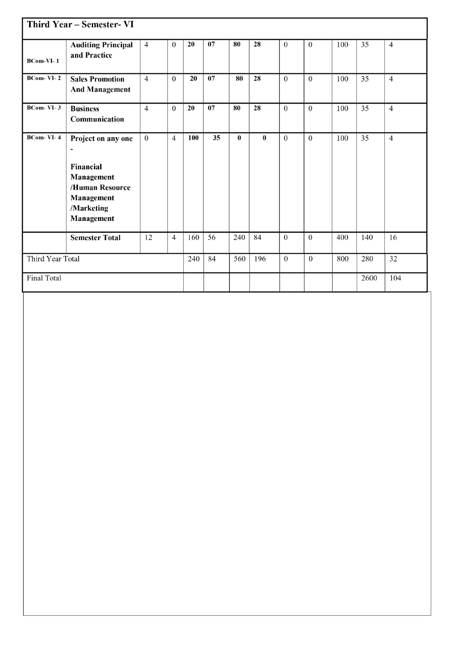|                    | Third Year - Semester- VI                                                                                                              |                |                |     |    |          |              |              |                  |     |      |                |
|--------------------|----------------------------------------------------------------------------------------------------------------------------------------|----------------|----------------|-----|----|----------|--------------|--------------|------------------|-----|------|----------------|
| BCom-VI-1          | <b>Auditing Principal</b><br>and Practice                                                                                              | $\overline{4}$ | $\overline{0}$ | 20  | 07 | 80       | 28           | $\mathbf{0}$ | $\boldsymbol{0}$ | 100 | 35   | $\overline{4}$ |
| $BCom-VI-2$        | <b>Sales Promotion</b><br><b>And Management</b>                                                                                        | $\overline{4}$ | $\theta$       | 20  | 07 | 80       | 28           | $\theta$     | $\theta$         | 100 | 35   | $\overline{4}$ |
| $BCom-VI-3$        | <b>Business</b><br>Communication                                                                                                       | $\overline{4}$ | $\Omega$       | 20  | 07 | 80       | 28           | $\Omega$     | $\Omega$         | 100 | 35   | $\overline{4}$ |
| $BCom- VI- 4$      | Project on any one<br>$\overline{\phantom{a}}$<br>Financial<br>Management<br>/Human Resource<br>Management<br>/Marketing<br>Management | $\theta$       | $\overline{4}$ | 100 | 35 | $\bf{0}$ | $\mathbf{0}$ | $\Omega$     | $\Omega$         | 100 | 35   | $\overline{4}$ |
|                    | <b>Semester Total</b>                                                                                                                  | 12             | $\overline{4}$ | 160 | 56 | 240      | 84           | $\Omega$     | $\mathbf{0}$     | 400 | 140  | 16             |
| Third Year Total   |                                                                                                                                        |                |                | 240 | 84 | 560      | 196          | $\theta$     | $\theta$         | 800 | 280  | 32             |
| <b>Final Total</b> |                                                                                                                                        |                |                |     |    |          |              |              |                  |     | 2600 | 104            |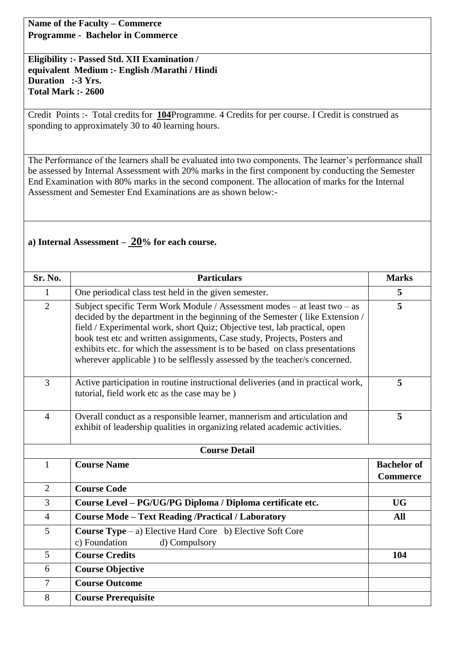**Name of the Faculty – Commerce Programme - Bachelor in Commerce** 

**Eligibility :- Passed Std. XII Examination / equivalent Medium :- English /Marathi / Hindi Duration :-3 Yrs. Total Mark :- 2600** 

Credit Points :- Total credits for **104**Programme. 4 Credits for per course. I Credit is construed as sponding to approximately 30 to 40 learning hours.

The Performance of the learners shall be evaluated into two components. The learner's performance shall be assessed by Internal Assessment with 20% marks in the first component by conducting the Semester End Examination with 80% marks in the second component. The allocation of marks for the Internal Assessment and Semester End Examinations are as shown below:-

### **a) Internal Assessment – 20% for each course.**

| Sr. No.        | <b>Particulars</b>                                                                                                                                                                                                                                                                                                                                                                                                                                                                | <b>Marks</b>                          |
|----------------|-----------------------------------------------------------------------------------------------------------------------------------------------------------------------------------------------------------------------------------------------------------------------------------------------------------------------------------------------------------------------------------------------------------------------------------------------------------------------------------|---------------------------------------|
| 1              | One periodical class test held in the given semester.                                                                                                                                                                                                                                                                                                                                                                                                                             | 5                                     |
| $\overline{2}$ | Subject specific Term Work Module / Assessment modes – at least two – as<br>decided by the department in the beginning of the Semester (like Extension /<br>field / Experimental work, short Quiz; Objective test, lab practical, open<br>book test etc and written assignments, Case study, Projects, Posters and<br>exhibits etc. for which the assessment is to be based on class presentations<br>wherever applicable ) to be selflessly assessed by the teacher/s concerned. | 5                                     |
| 3              | Active participation in routine instructional deliveries (and in practical work,<br>tutorial, field work etc as the case may be)                                                                                                                                                                                                                                                                                                                                                  | 5                                     |
| $\overline{4}$ | Overall conduct as a responsible learner, mannerism and articulation and<br>exhibit of leadership qualities in organizing related academic activities.                                                                                                                                                                                                                                                                                                                            | 5                                     |
|                | <b>Course Detail</b>                                                                                                                                                                                                                                                                                                                                                                                                                                                              |                                       |
| $\mathbf{1}$   | <b>Course Name</b>                                                                                                                                                                                                                                                                                                                                                                                                                                                                | <b>Bachelor</b> of<br><b>Commerce</b> |
| $\overline{2}$ | <b>Course Code</b>                                                                                                                                                                                                                                                                                                                                                                                                                                                                |                                       |
| 3              | Course Level – PG/UG/PG Diploma / Diploma certificate etc.                                                                                                                                                                                                                                                                                                                                                                                                                        | <b>UG</b>                             |
| $\overline{4}$ | <b>Course Mode - Text Reading /Practical / Laboratory</b>                                                                                                                                                                                                                                                                                                                                                                                                                         | <b>All</b>                            |
| 5              | <b>Course Type</b> $-$ a) Elective Hard Core b) Elective Soft Core<br>c) Foundation<br>d) Compulsory                                                                                                                                                                                                                                                                                                                                                                              |                                       |
| 5              | <b>Course Credits</b>                                                                                                                                                                                                                                                                                                                                                                                                                                                             | 104                                   |
| 6              | <b>Course Objective</b>                                                                                                                                                                                                                                                                                                                                                                                                                                                           |                                       |
| $\tau$         | <b>Course Outcome</b>                                                                                                                                                                                                                                                                                                                                                                                                                                                             |                                       |
| 8              | <b>Course Prerequisite</b>                                                                                                                                                                                                                                                                                                                                                                                                                                                        |                                       |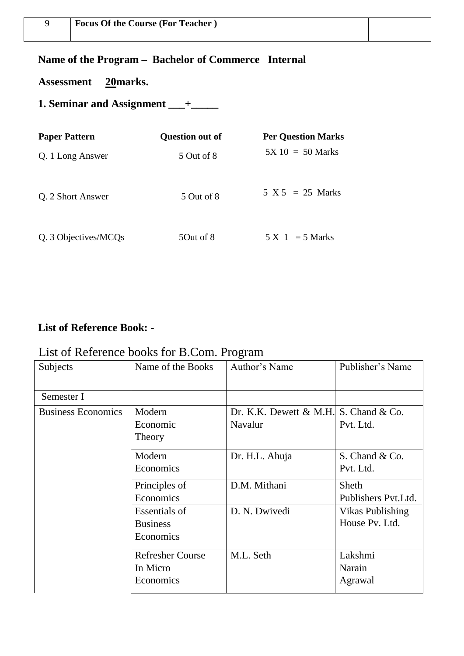## **Name of the Program – Bachelor of Commerce Internal**

**Assessment 20marks.** 

**1. Seminar and Assignment \_\_\_+\_\_\_\_\_** 

| <b>Paper Pattern</b> | <b>Question out of</b> | <b>Per Question Marks</b> |
|----------------------|------------------------|---------------------------|
| Q. 1 Long Answer     | 5 Out of 8             | $5X 10 = 50$ Marks        |
| Q. 2 Short Answer    | 5 Out of 8             | $5 X 5 = 25 Marks$        |
| Q. 3 Objectives/MCQs | 50ut of 8              | $5 X 1 = 5 Marks$         |

## **List of Reference Book: -**

## List of Reference books for B.Com. Program

| Subjects                  | Name of the Books       | Author's Name                               | Publisher's Name     |
|---------------------------|-------------------------|---------------------------------------------|----------------------|
| Semester I                |                         |                                             |                      |
| <b>Business Economics</b> | Modern                  | Dr. K.K. Dewett $\&$ M.H. S. Chand $\&$ Co. |                      |
|                           | Economic                | Navalur                                     | Pvt. Ltd.            |
|                           | Theory                  |                                             |                      |
|                           | Modern                  | Dr. H.L. Ahuja                              | S. Chand & Co.       |
|                           | Economics               |                                             | Pvt. Ltd.            |
|                           | Principles of           | D.M. Mithani                                | Sheth                |
|                           | Economics               |                                             | Publishers Pvt. Ltd. |
|                           | <b>Essentials of</b>    | D. N. Dwivedi                               | Vikas Publishing     |
|                           | <b>Business</b>         |                                             | House Pv. Ltd.       |
|                           | Economics               |                                             |                      |
|                           | <b>Refresher Course</b> | M.L. Seth                                   | Lakshmi              |
|                           | In Micro                |                                             | Narain               |
|                           | Economics               |                                             | Agrawal              |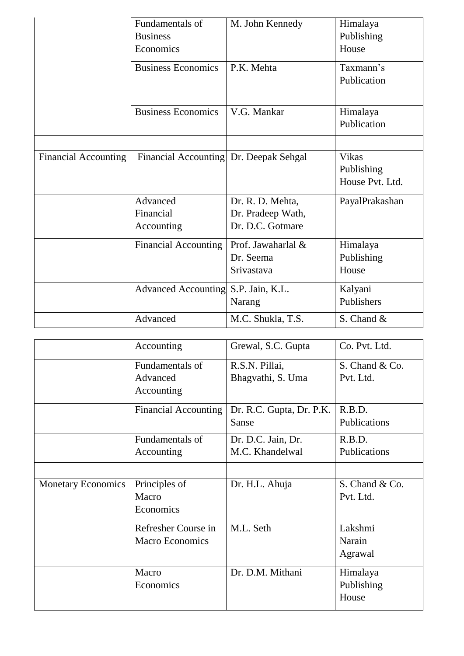|                             | Fundamentals of<br><b>Business</b><br>Economics | M. John Kennedy                                           | Himalaya<br>Publishing<br>House               |
|-----------------------------|-------------------------------------------------|-----------------------------------------------------------|-----------------------------------------------|
|                             | <b>Business Economics</b>                       | P.K. Mehta                                                | Taxmann's<br>Publication                      |
|                             | <b>Business Economics</b>                       | V.G. Mankar                                               | Himalaya<br>Publication                       |
|                             |                                                 |                                                           |                                               |
| <b>Financial Accounting</b> | Financial Accounting Dr. Deepak Sehgal          |                                                           | <b>Vikas</b><br>Publishing<br>House Pvt. Ltd. |
|                             | Advanced<br>Financial<br>Accounting             | Dr. R. D. Mehta,<br>Dr. Pradeep Wath,<br>Dr. D.C. Gotmare | PayalPrakashan                                |
|                             | <b>Financial Accounting</b>                     | Prof. Jawaharlal &<br>Dr. Seema<br>Srivastava             | Himalaya<br>Publishing<br>House               |
|                             | <b>Advanced Accounting</b>                      | S.P. Jain, K.L.<br>Narang                                 | Kalyani<br>Publishers                         |
|                             | Advanced                                        | M.C. Shukla, T.S.                                         | S. Chand &                                    |

|                           | Accounting                                    | Grewal, S.C. Gupta                    | Co. Pvt. Ltd.                   |
|---------------------------|-----------------------------------------------|---------------------------------------|---------------------------------|
|                           | Fundamentals of<br>Advanced<br>Accounting     | R.S.N. Pillai,<br>Bhagvathi, S. Uma   | S. Chand & Co.<br>Pvt. Ltd.     |
|                           | <b>Financial Accounting</b>                   | Dr. R.C. Gupta, Dr. P.K.<br>Sanse     | R.B.D.<br>Publications          |
|                           | Fundamentals of<br>Accounting                 | Dr. D.C. Jain, Dr.<br>M.C. Khandelwal | R.B.D.<br>Publications          |
|                           |                                               |                                       |                                 |
| <b>Monetary Economics</b> | Principles of<br>Macro<br>Economics           | Dr. H.L. Ahuja                        | S. Chand & Co.<br>Pvt. Ltd.     |
|                           | Refresher Course in<br><b>Macro Economics</b> | M.L. Seth                             | Lakshmi<br>Narain<br>Agrawal    |
|                           | Macro<br>Economics                            | Dr. D.M. Mithani                      | Himalaya<br>Publishing<br>House |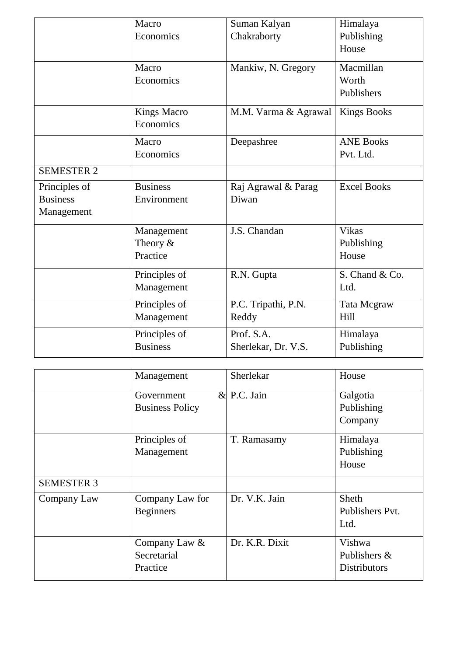|                   | Macro              | Suman Kalyan         | Himalaya           |
|-------------------|--------------------|----------------------|--------------------|
|                   | Economics          | Chakraborty          | Publishing         |
|                   |                    |                      | House              |
|                   | Macro              | Mankiw, N. Gregory   | Macmillan          |
|                   | Economics          |                      | Worth              |
|                   |                    |                      | Publishers         |
|                   | <b>Kings Macro</b> | M.M. Varma & Agrawal | <b>Kings Books</b> |
|                   | Economics          |                      |                    |
|                   | Macro              | Deepashree           | <b>ANE Books</b>   |
|                   | Economics          |                      | Pvt. Ltd.          |
| <b>SEMESTER 2</b> |                    |                      |                    |
| Principles of     | <b>Business</b>    | Raj Agrawal & Parag  | <b>Excel Books</b> |
| <b>Business</b>   | Environment        | Diwan                |                    |
| Management        |                    |                      |                    |
|                   | Management         | J.S. Chandan         | <b>Vikas</b>       |
|                   | Theory $&$         |                      | Publishing         |
|                   | Practice           |                      | House              |
|                   | Principles of      | R.N. Gupta           | S. Chand & Co.     |
|                   | Management         |                      | Ltd.               |
|                   | Principles of      | P.C. Tripathi, P.N.  | Tata Mcgraw        |
|                   | Management         | Reddy                | Hill               |
|                   | Principles of      | Prof. S.A.           | Himalaya           |
|                   | <b>Business</b>    | Sherlekar, Dr. V.S.  | Publishing         |

|                   | Management                               | Sherlekar      | House                                         |
|-------------------|------------------------------------------|----------------|-----------------------------------------------|
|                   | Government<br><b>Business Policy</b>     | $&$ P.C. Jain  | Galgotia<br>Publishing<br>Company             |
|                   | Principles of<br>Management              | T. Ramasamy    | Himalaya<br>Publishing<br>House               |
| <b>SEMESTER 3</b> |                                          |                |                                               |
| Company Law       | Company Law for<br><b>Beginners</b>      | Dr. V.K. Jain  | Sheth<br>Publishers Pvt.<br>Ltd.              |
|                   | Company Law &<br>Secretarial<br>Practice | Dr. K.R. Dixit | Vishwa<br>Publishers &<br><b>Distributors</b> |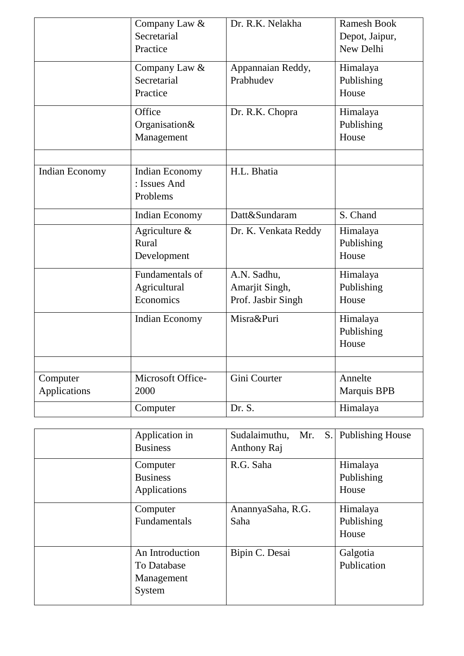|                          | Company Law &<br>Secretarial<br>Practice          | Dr. R.K. Nelakha                                    | <b>Ramesh Book</b><br>Depot, Jaipur,<br>New Delhi |
|--------------------------|---------------------------------------------------|-----------------------------------------------------|---------------------------------------------------|
|                          | Company Law &<br>Secretarial<br>Practice          | Appannaian Reddy,<br>Prabhudev                      | Himalaya<br>Publishing<br>House                   |
|                          | Office<br>Organisation&<br>Management             | Dr. R.K. Chopra                                     | Himalaya<br>Publishing<br>House                   |
| Indian Economy           | <b>Indian Economy</b><br>: Issues And<br>Problems | H.L. Bhatia                                         |                                                   |
|                          | <b>Indian Economy</b>                             | Datt&Sundaram                                       | S. Chand                                          |
|                          | Agriculture $\&$<br>Rural<br>Development          | Dr. K. Venkata Reddy                                | Himalaya<br>Publishing<br>House                   |
|                          | Fundamentals of<br>Agricultural<br>Economics      | A.N. Sadhu,<br>Amarjit Singh,<br>Prof. Jasbir Singh | Himalaya<br>Publishing<br>House                   |
|                          | <b>Indian Economy</b>                             | Misra&Puri                                          | Himalaya<br>Publishing<br>House                   |
|                          |                                                   |                                                     |                                                   |
| Computer<br>Applications | Microsoft Office-<br>2000                         | Gini Courter                                        | Annelte<br>Marquis BPB                            |
|                          | Computer                                          | Dr. S.                                              | Himalaya                                          |

| Application in<br><b>Business</b>                      | S.<br>Sudalaimuthu,<br>Mr.<br>Anthony Raj | <b>Publishing House</b>         |
|--------------------------------------------------------|-------------------------------------------|---------------------------------|
| Computer<br><b>Business</b><br>Applications            | R.G. Saha                                 | Himalaya<br>Publishing<br>House |
| Computer<br>Fundamentals                               | AnannyaSaha, R.G.<br>Saha                 | Himalaya<br>Publishing<br>House |
| An Introduction<br>To Database<br>Management<br>System | Bipin C. Desai                            | Galgotia<br>Publication         |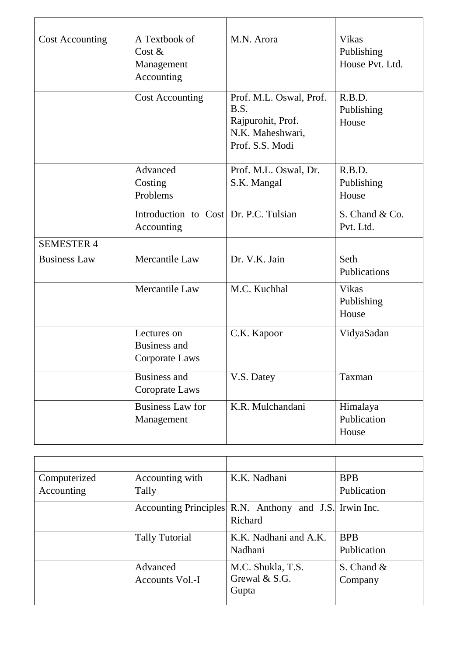| <b>Cost Accounting</b> | A Textbook of<br>Cost $&$<br>Management<br>Accounting | M.N. Arora                                                                                  | Vikas<br>Publishing<br>House Pvt. Ltd. |
|------------------------|-------------------------------------------------------|---------------------------------------------------------------------------------------------|----------------------------------------|
|                        | <b>Cost Accounting</b>                                | Prof. M.L. Oswal, Prof.<br>B.S.<br>Rajpurohit, Prof.<br>N.K. Maheshwari,<br>Prof. S.S. Modi | R.B.D.<br>Publishing<br>House          |
|                        | Advanced<br>Costing<br>Problems                       | Prof. M.L. Oswal, Dr.<br>S.K. Mangal                                                        | R.B.D.<br>Publishing<br>House          |
|                        | Introduction to Cost Dr. P.C. Tulsian<br>Accounting   |                                                                                             | S. Chand & Co.<br>Pvt. Ltd.            |
| <b>SEMESTER 4</b>      |                                                       |                                                                                             |                                        |
| <b>Business Law</b>    | Mercantile Law                                        | Dr. V.K. Jain                                                                               | Seth<br>Publications                   |
|                        | Mercantile Law                                        | M.C. Kuchhal                                                                                | Vikas<br>Publishing<br>House           |
|                        | Lectures on<br><b>Business and</b><br>Corporate Laws  | C.K. Kapoor                                                                                 | VidyaSadan                             |
|                        | <b>Business and</b><br>Coroprate Laws                 | V.S. Datey                                                                                  | Taxman                                 |
|                        | <b>Business Law for</b><br>Management                 | K.R. Mulchandani                                                                            | Himalaya<br>Publication<br>House       |

| Computerized | Accounting with       | K.K. Nadhani                                                      | <b>BPB</b>  |
|--------------|-----------------------|-------------------------------------------------------------------|-------------|
| Accounting   | Tally                 |                                                                   | Publication |
|              |                       | Accounting Principles R.N. Anthony and J.S. Irwin Inc.<br>Richard |             |
|              | <b>Tally Tutorial</b> | K.K. Nadhani and A.K.                                             | <b>BPB</b>  |
|              |                       | Nadhani                                                           | Publication |
|              | Advanced              | M.C. Shukla, T.S.                                                 | S. Chand &  |
|              | Accounts Vol.-I       | Grewal & S.G.                                                     | Company     |
|              |                       | Gupta                                                             |             |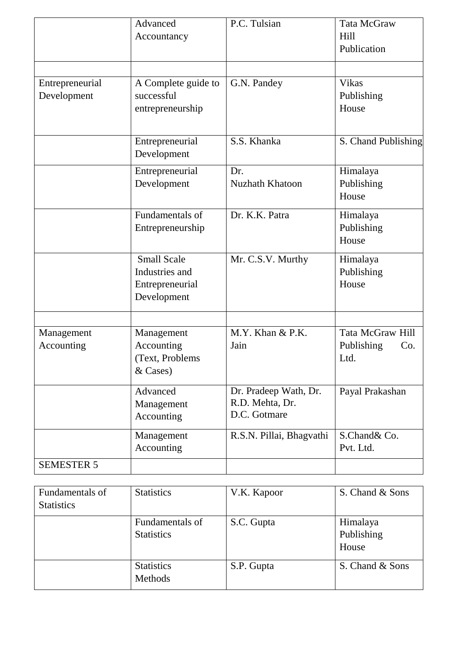|                                | Advanced<br>Accountancy                                                | P.C. Tulsian                                             | <b>Tata McGraw</b><br>Hill<br>Publication     |
|--------------------------------|------------------------------------------------------------------------|----------------------------------------------------------|-----------------------------------------------|
| Entrepreneurial<br>Development | A Complete guide to<br>successful<br>entrepreneurship                  | G.N. Pandey                                              | <b>Vikas</b><br>Publishing<br>House           |
|                                | Entrepreneurial<br>Development                                         | S.S. Khanka                                              | S. Chand Publishing                           |
|                                | Entrepreneurial<br>Development                                         | Dr.<br><b>Nuzhath Khatoon</b>                            | Himalaya<br>Publishing<br>House               |
|                                | Fundamentals of<br>Entrepreneurship                                    | Dr. K.K. Patra                                           | Himalaya<br>Publishing<br>House               |
|                                | <b>Small Scale</b><br>Industries and<br>Entrepreneurial<br>Development | Mr. C.S.V. Murthy                                        | Himalaya<br>Publishing<br>House               |
| Management<br>Accounting       | Management<br>Accounting<br>(Text, Problems<br>& Cases)                | M.Y. Khan & P.K.<br>Jain                                 | Tata McGraw Hill<br>Publishing<br>Co.<br>Ltd. |
|                                | Advanced<br>Management<br>Accounting                                   | Dr. Pradeep Wath, Dr.<br>R.D. Mehta, Dr.<br>D.C. Gotmare | Payal Prakashan                               |
|                                | Management<br>Accounting                                               | R.S.N. Pillai, Bhagvathi                                 | S.Chand& Co.<br>Pvt. Ltd.                     |
| <b>SEMESTER 5</b>              |                                                                        |                                                          |                                               |

| Fundamentals of<br><b>Statistics</b> | <b>Statistics</b>                    | V.K. Kapoor | S. Chand & Sons                 |
|--------------------------------------|--------------------------------------|-------------|---------------------------------|
|                                      | Fundamentals of<br><b>Statistics</b> | S.C. Gupta  | Himalaya<br>Publishing<br>House |
|                                      | <b>Statistics</b><br>Methods         | S.P. Gupta  | S. Chand & Sons                 |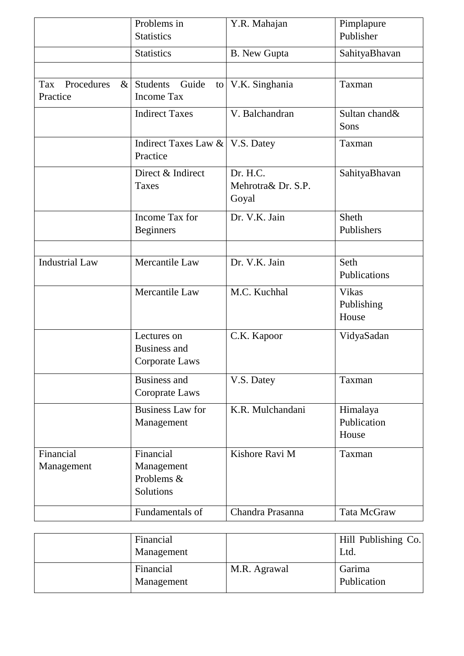|                                       | Problems in<br><b>Statistics</b>                     | Y.R. Mahajan                            | Pimplapure<br>Publisher             |
|---------------------------------------|------------------------------------------------------|-----------------------------------------|-------------------------------------|
|                                       | <b>Statistics</b>                                    | <b>B.</b> New Gupta                     | SahityaBhavan                       |
|                                       |                                                      |                                         |                                     |
| Procedures<br>Tax<br>$\&$<br>Practice | Guide<br><b>Students</b><br><b>Income Tax</b>        | to V.K. Singhania                       | Taxman                              |
|                                       | <b>Indirect Taxes</b>                                | V. Balchandran                          | Sultan chand&<br>Sons               |
|                                       | Indirect Taxes Law &<br>Practice                     | V.S. Datey                              | Taxman                              |
|                                       | Direct & Indirect<br><b>Taxes</b>                    | Dr. H.C.<br>Mehrotra& Dr. S.P.<br>Goyal | SahityaBhavan                       |
|                                       | Income Tax for<br><b>Beginners</b>                   | Dr. V.K. Jain                           | Sheth<br>Publishers                 |
| <b>Industrial Law</b>                 | Mercantile Law                                       | Dr. V.K. Jain                           | Seth<br>Publications                |
|                                       | Mercantile Law                                       | M.C. Kuchhal                            | <b>Vikas</b><br>Publishing<br>House |
|                                       | Lectures on<br><b>Business and</b><br>Corporate Laws | C.K. Kapoor                             | VidyaSadan                          |
|                                       | <b>Business and</b><br>Coroprate Laws                | V.S. Datey                              | Taxman                              |
|                                       | <b>Business Law for</b><br>Management                | K.R. Mulchandani                        | Himalaya<br>Publication<br>House    |
| Financial<br>Management               | Financial<br>Management<br>Problems &<br>Solutions   | Kishore Ravi M                          | Taxman                              |
|                                       | Fundamentals of                                      | Chandra Prasanna                        | Tata McGraw                         |

| Financial<br>Management |              | Hill Publishing Co. <br>Ltd. |
|-------------------------|--------------|------------------------------|
| Financial<br>Management | M.R. Agrawal | Garima<br>Publication        |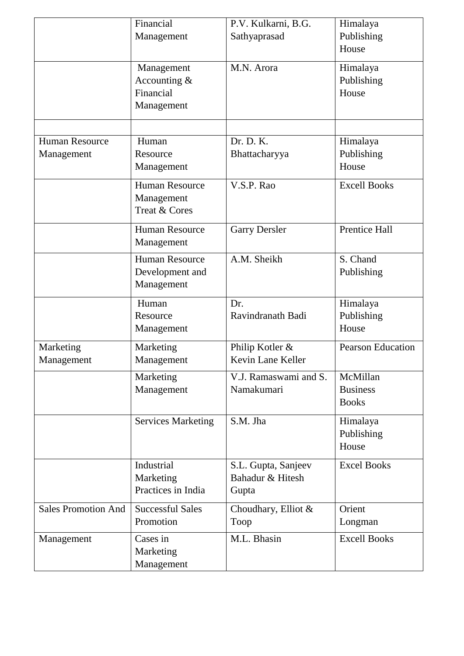|                            | Financial                 | P.V. Kulkarni, B.G.   | Himalaya                 |
|----------------------------|---------------------------|-----------------------|--------------------------|
|                            | Management                | Sathyaprasad          | Publishing               |
|                            |                           |                       | House                    |
|                            | Management                | M.N. Arora            | Himalaya                 |
|                            | Accounting $&$            |                       | Publishing               |
|                            | Financial                 |                       | House                    |
|                            | Management                |                       |                          |
|                            |                           |                       |                          |
| <b>Human Resource</b>      | Human                     | Dr. D. K.             | Himalaya                 |
| Management                 | Resource                  | Bhattacharyya         | Publishing               |
|                            | Management                |                       | House                    |
|                            | <b>Human Resource</b>     | V.S.P. Rao            | <b>Excell Books</b>      |
|                            | Management                |                       |                          |
|                            | Treat & Cores             |                       |                          |
|                            | <b>Human Resource</b>     | <b>Garry Dersler</b>  | <b>Prentice Hall</b>     |
|                            | Management                |                       |                          |
|                            | <b>Human Resource</b>     | A.M. Sheikh           | S. Chand                 |
|                            | Development and           |                       | Publishing               |
|                            | Management                |                       |                          |
|                            | Human                     | Dr.                   | Himalaya                 |
|                            | Resource                  | Ravindranath Badi     | Publishing               |
|                            | Management                |                       | House                    |
| Marketing                  | Marketing                 | Philip Kotler &       | <b>Pearson Education</b> |
| Management                 | Management                | Kevin Lane Keller     |                          |
|                            | Marketing                 | V.J. Ramaswami and S. | McMillan                 |
|                            | Management                | Namakumari            | <b>Business</b>          |
|                            |                           |                       | <b>Books</b>             |
|                            | <b>Services Marketing</b> | S.M. Jha              | Himalaya                 |
|                            |                           |                       | Publishing               |
|                            |                           |                       | House                    |
|                            | Industrial                | S.L. Gupta, Sanjeev   | <b>Excel Books</b>       |
|                            | Marketing                 | Bahadur & Hitesh      |                          |
|                            | Practices in India        | Gupta                 |                          |
| <b>Sales Promotion And</b> | <b>Successful Sales</b>   | Choudhary, Elliot $&$ | Orient                   |
|                            | Promotion                 | Toop                  | Longman                  |
| Management                 | Cases in                  | M.L. Bhasin           | <b>Excell Books</b>      |
|                            | Marketing                 |                       |                          |
|                            | Management                |                       |                          |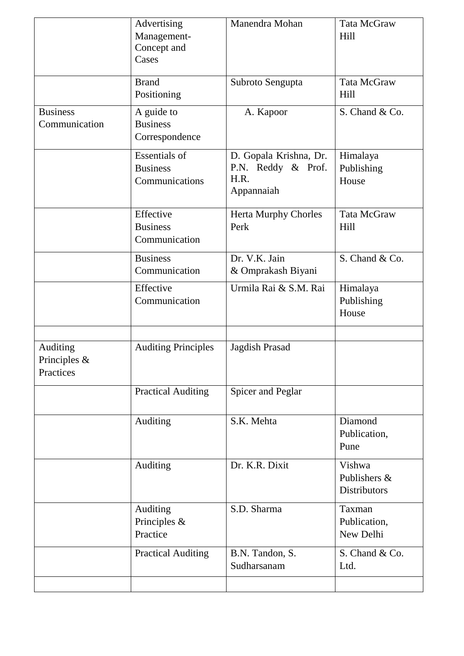|                                          | Advertising<br>Management-<br>Concept and<br>Cases        | Manendra Mohan                                                     | Tata McGraw<br>Hill                           |
|------------------------------------------|-----------------------------------------------------------|--------------------------------------------------------------------|-----------------------------------------------|
|                                          | <b>Brand</b><br>Positioning                               | Subroto Sengupta                                                   | Tata McGraw<br>Hill                           |
| <b>Business</b><br>Communication         | A guide to<br><b>Business</b><br>Correspondence           | A. Kapoor                                                          | S. Chand & Co.                                |
|                                          | <b>Essentials of</b><br><b>Business</b><br>Communications | D. Gopala Krishna, Dr.<br>P.N. Reddy & Prof.<br>H.R.<br>Appannaiah | Himalaya<br>Publishing<br>House               |
|                                          | Effective<br><b>Business</b><br>Communication             | <b>Herta Murphy Chorles</b><br>Perk                                | Tata McGraw<br>Hill                           |
|                                          | <b>Business</b><br>Communication                          | Dr. V.K. Jain<br>& Omprakash Biyani                                | S. Chand & Co.                                |
|                                          | Effective<br>Communication                                | Urmila Rai & S.M. Rai                                              | Himalaya<br>Publishing<br>House               |
| Auditing<br>Principles $\&$<br>Practices | <b>Auditing Principles</b>                                | Jagdish Prasad                                                     |                                               |
|                                          | <b>Practical Auditing</b>                                 | Spicer and Peglar                                                  |                                               |
|                                          | Auditing                                                  | S.K. Mehta                                                         | Diamond<br>Publication,<br>Pune               |
|                                          | Auditing                                                  | Dr. K.R. Dixit                                                     | Vishwa<br>Publishers &<br><b>Distributors</b> |
|                                          | Auditing<br>Principles &<br>Practice                      | S.D. Sharma                                                        | Taxman<br>Publication,<br>New Delhi           |
|                                          | <b>Practical Auditing</b>                                 | B.N. Tandon, S.<br>Sudharsanam                                     | S. Chand & Co.<br>Ltd.                        |
|                                          |                                                           |                                                                    |                                               |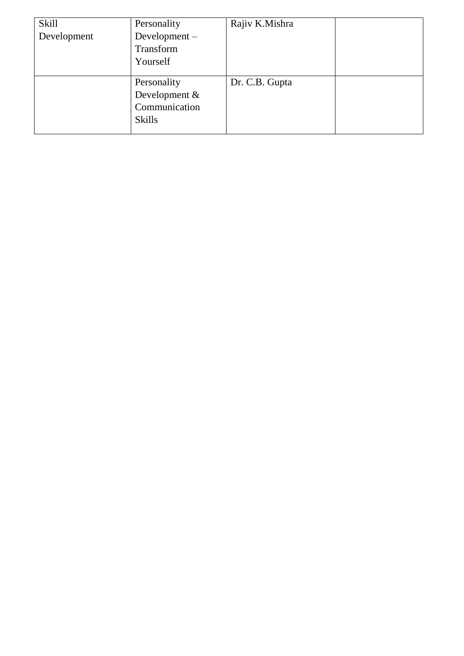| <b>Skill</b><br>Development | Personality<br>Development $-$<br>Transform<br>Yourself        | Rajiv K.Mishra |  |
|-----------------------------|----------------------------------------------------------------|----------------|--|
|                             | Personality<br>Development &<br>Communication<br><b>Skills</b> | Dr. C.B. Gupta |  |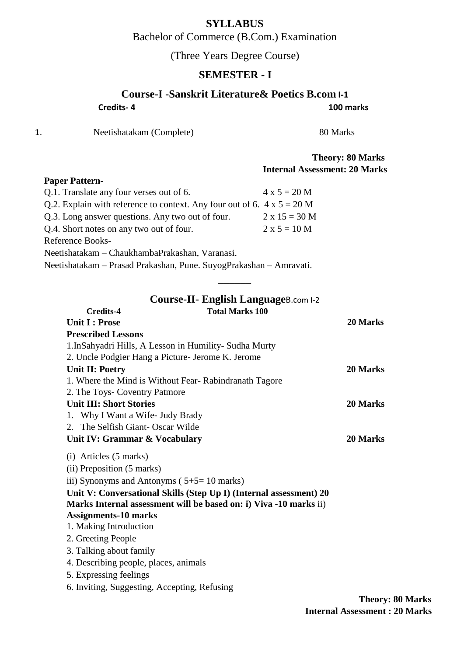## **SYLLABUS**

Bachelor of Commerce (B.Com.) Examination

(Three Years Degree Course)

## **SEMESTER - I**

|    | Course-I -Sanskrit Literature& Poetics B.com 1-1                               |                                      |                         |
|----|--------------------------------------------------------------------------------|--------------------------------------|-------------------------|
|    | Credits-4                                                                      |                                      | 100 marks               |
| 1. | Neetishatakam (Complete)                                                       | 80 Marks                             |                         |
|    |                                                                                |                                      | <b>Theory: 80 Marks</b> |
|    |                                                                                | <b>Internal Assessment: 20 Marks</b> |                         |
|    | <b>Paper Pattern-</b>                                                          |                                      |                         |
|    | Q.1. Translate any four verses out of 6.                                       | $4 \times 5 = 20 M$                  |                         |
|    | Q.2. Explain with reference to context. Any four out of 6. $4 \times 5 = 20$ M |                                      |                         |
|    | Q.3. Long answer questions. Any two out of four.                               | $2 \times 15 = 30 M$                 |                         |
|    | Q.4. Short notes on any two out of four.                                       | $2 x 5 = 10 M$                       |                         |
|    | <b>Reference Books-</b>                                                        |                                      |                         |
|    | Neetishatakam - ChaukhambaPrakashan, Varanasi.                                 |                                      |                         |
|    | Neetishatakam - Prasad Prakashan, Pune. SuyogPrakashan - Amravati.             |                                      |                         |
|    |                                                                                |                                      |                         |
|    |                                                                                |                                      |                         |
|    | <b>Course-II- English LanguageB.com I-2</b>                                    |                                      |                         |
|    | <b>Total Marks 100</b><br><b>Credits-4</b>                                     |                                      |                         |
|    | <b>Unit I: Prose</b>                                                           |                                      | 20 Marks                |
|    | <b>Prescribed Lessons</b>                                                      |                                      |                         |
|    | 1. InSahyadri Hills, A Lesson in Humility-Sudha Murty                          |                                      |                         |
|    | 2. Uncle Podgier Hang a Picture- Jerome K. Jerome                              |                                      |                         |
|    | <b>Unit II: Poetry</b>                                                         |                                      | 20 Marks                |
|    | 1. Where the Mind is Without Fear-Rabindranath Tagore                          |                                      |                         |
|    | 2. The Toys- Coventry Patmore                                                  |                                      | 20 Marks                |
|    | <b>Unit III: Short Stories</b><br>1. Why I Want a Wife- Judy Brady             |                                      |                         |
|    | 2. The Selfish Giant-Oscar Wilde                                               |                                      |                         |
|    | Unit IV: Grammar & Vocabulary                                                  |                                      | <b>20 Marks</b>         |
|    |                                                                                |                                      |                         |
|    | (i) Articles (5 marks)                                                         |                                      |                         |
|    | (ii) Preposition (5 marks)                                                     |                                      |                         |
|    | iii) Synonyms and Antonyms $(5+5=10 \text{ marks})$                            |                                      |                         |
|    | Unit V: Conversational Skills (Step Up I) (Internal assessment) 20             |                                      |                         |
|    | Marks Internal assessment will be based on: i) Viva -10 marks ii)              |                                      |                         |
|    | <b>Assignments-10 marks</b>                                                    |                                      |                         |
|    | 1. Making Introduction                                                         |                                      |                         |

2. Greeting People

3. Talking about family

4. Describing people, places, animals

5. Expressing feelings

6. Inviting, Suggesting, Accepting, Refusing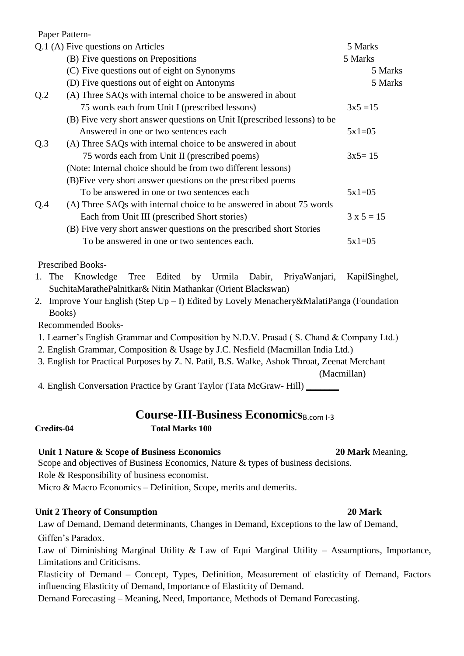Paper Pattern-

| Q.1 (A) Five questions on Articles | 5 Marks                                                                   |              |
|------------------------------------|---------------------------------------------------------------------------|--------------|
|                                    | (B) Five questions on Prepositions                                        | 5 Marks      |
|                                    | (C) Five questions out of eight on Synonyms                               | 5 Marks      |
|                                    | (D) Five questions out of eight on Antonyms                               | 5 Marks      |
| Q.2                                | (A) Three SAQs with internal choice to be answered in about               |              |
|                                    | 75 words each from Unit I (prescribed lessons)                            | $3x5 = 15$   |
|                                    | (B) Five very short answer questions on Unit I (prescribed lessons) to be |              |
|                                    | Answered in one or two sentences each                                     | $5x1=05$     |
| Q.3                                | (A) Three SAQs with internal choice to be answered in about               |              |
|                                    | 75 words each from Unit II (prescribed poems)                             | $3x5 = 15$   |
|                                    | (Note: Internal choice should be from two different lessons)              |              |
|                                    | (B) Five very short answer questions on the prescribed poems              |              |
|                                    | To be answered in one or two sentences each                               | $5x1=05$     |
| Q.4                                | (A) Three SAQs with internal choice to be answered in about 75 words      |              |
|                                    | Each from Unit III (prescribed Short stories)                             | $3 x 5 = 15$ |
|                                    | (B) Five very short answer questions on the prescribed short Stories      |              |
|                                    | To be answered in one or two sentences each.                              | $5x1=05$     |

Prescribed Books-

- 1. The Knowledge Tree Edited by Urmila Dabir, PriyaWanjari, KapilSinghel, SuchitaMarathePalnitkar& Nitin Mathankar (Orient Blackswan)
- 2. Improve Your English (Step Up I) Edited by Lovely Menachery&MalatiPanga (Foundation Books)

Recommended Books-

- 1. Learner's English Grammar and Composition by N.D.V. Prasad ( S. Chand & Company Ltd.)
- 2. English Grammar, Composition & Usage by J.C. Nesfield (Macmillan India Ltd.)
- 3. English for Practical Purposes by Z. N. Patil, B.S. Walke, Ashok Throat, Zeenat Merchant

(Macmillan)

4. English Conversation Practice by Grant Taylor (Tata McGraw- Hill) **\_\_\_\_\_\_\_**

## **Course-III-Business Economics**B.com 1-3

## **Credits-04 Total Marks 100**

### **Unit 1 Nature & Scope of Business Economics 20 Mark Meaning,**

Scope and objectives of Business Economics, Nature & types of business decisions. Role & Responsibility of business economist.

Micro & Macro Economics – Definition, Scope, merits and demerits.

### **Unit 2 Theory of Consumption 20 Mark**

Law of Demand, Demand determinants, Changes in Demand, Exceptions to the law of Demand, Giffen's Paradox.

Law of Diminishing Marginal Utility & Law of Equi Marginal Utility – Assumptions, Importance, Limitations and Criticisms.

Elasticity of Demand – Concept, Types, Definition, Measurement of elasticity of Demand, Factors influencing Elasticity of Demand, Importance of Elasticity of Demand.

Demand Forecasting – Meaning, Need, Importance, Methods of Demand Forecasting.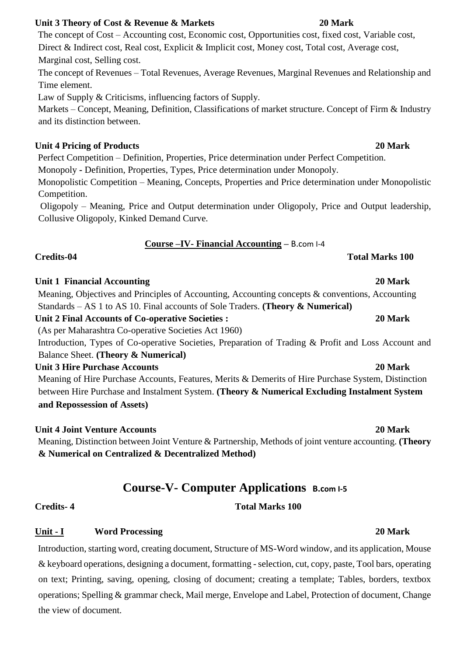## **Unit 3 Theory of Cost & Revenue & Markets 20 Mark**

The concept of Cost – Accounting cost, Economic cost, Opportunities cost, fixed cost, Variable cost, Direct & Indirect cost, Real cost, Explicit & Implicit cost, Money cost, Total cost, Average cost, Marginal cost, Selling cost.

The concept of Revenues – Total Revenues, Average Revenues, Marginal Revenues and Relationship and Time element.

Law of Supply & Criticisms, influencing factors of Supply.

Markets – Concept, Meaning, Definition, Classifications of market structure. Concept of Firm & Industry and its distinction between.

### **Unit 4 Pricing of Products 20 Mark**

Perfect Competition – Definition, Properties, Price determination under Perfect Competition.

Monopoly **-** Definition, Properties, Types, Price determination under Monopoly.

Monopolistic Competition – Meaning, Concepts, Properties and Price determination under Monopolistic Competition.

Oligopoly – Meaning, Price and Output determination under Oligopoly, Price and Output leadership, Collusive Oligopoly, Kinked Demand Curve.

## **Course –IV- Financial Accounting –** B.com I-4

### **Credits-04 Total Marks 100**

### **Unit 1 Financial Accounting 20 Mark**

Meaning, Objectives and Principles of Accounting, Accounting concepts & conventions, Accounting Standards – AS 1 to AS 10. Final accounts of Sole Traders. **(Theory & Numerical)**

**Unit 2 Final Accounts of Co-operative Societies : 20 Mark** 

(As per Maharashtra Co-operative Societies Act 1960)

Introduction, Types of Co-operative Societies, Preparation of Trading & Profit and Loss Account and Balance Sheet. **(Theory & Numerical)** 

### **Unit 3 Hire Purchase Accounts 20 Mark**

Meaning of Hire Purchase Accounts, Features, Merits & Demerits of Hire Purchase System, Distinction between Hire Purchase and Instalment System. **(Theory & Numerical Excluding Instalment System and Repossession of Assets)** 

## **Unit 4 Joint Venture Accounts 20 Mark**

Meaning, Distinction between Joint Venture & Partnership, Methods of joint venture accounting. **(Theory & Numerical on Centralized & Decentralized Method)** 

# **Course-V- Computer Applications B.com I-5**

**Credits- 4 Total Marks 100** 

## **Unit - I Word Processing 20 Mark**

Introduction, starting word, creating document, Structure of MS-Word window, and its application, Mouse & keyboard operations, designing a document, formatting - selection, cut, copy, paste, Tool bars, operating on text; Printing, saving, opening, closing of document; creating a template; Tables, borders, textbox operations; Spelling & grammar check, Mail merge, Envelope and Label, Protection of document, Change the view of document.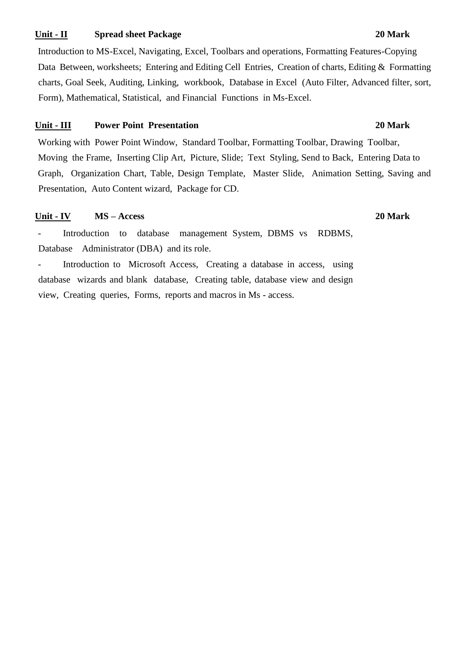### **Unit - II** Spread sheet Package 20 Mark

Introduction to MS-Excel, Navigating, Excel, Toolbars and operations, Formatting Features-Copying Data Between, worksheets; Entering and Editing Cell Entries, Creation of charts, Editing & Formatting charts, Goal Seek, Auditing, Linking, workbook, Database in Excel (Auto Filter, Advanced filter, sort, Form), Mathematical, Statistical, and Financial Functions in Ms-Excel.

### **Unit - III Power Point Presentation 20 Mark**

Working with Power Point Window, Standard Toolbar, Formatting Toolbar, Drawing Toolbar, Moving the Frame, Inserting Clip Art, Picture, Slide; Text Styling, Send to Back, Entering Data to Graph, Organization Chart, Table, Design Template, Master Slide, Animation Setting, Saving and Presentation, Auto Content wizard, Package for CD.

### **Unit - IV MS – Access 20 Mark**

- Introduction to database management System, DBMS vs RDBMS, Database Administrator (DBA) and its role.

- Introduction to Microsoft Access, Creating a database in access, using database wizards and blank database, Creating table, database view and design view, Creating queries, Forms, reports and macros in Ms - access.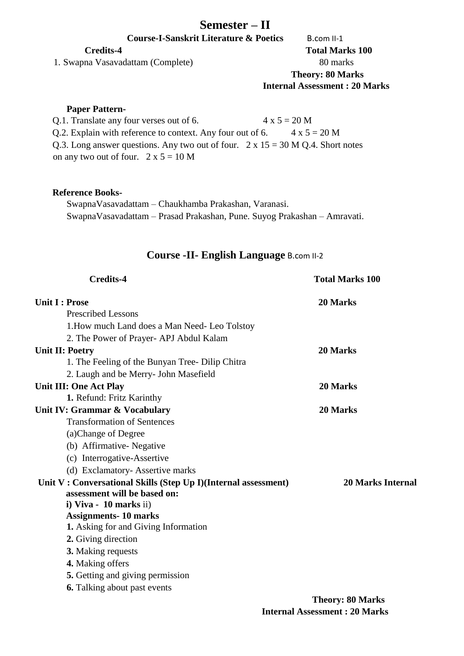## **Semester – II**

**Course-I-Sanskrit Literature & Poetics** B.com II-1

1. Swapna Vasavadattam (Complete) 80 marks

**Credits-4 Total Marks 100 Theory: 80 Marks Internal Assessment : 20 Marks** 

### **Paper Pattern-**

Q.1. Translate any four verses out of 6.  $4 \times 5 = 20$  M Q.2. Explain with reference to context. Any four out of 6.  $4 \times 5 = 20$  M Q.3. Long answer questions. Any two out of four.  $2 \times 15 = 30$  M Q.4. Short notes on any two out of four.  $2 \times 5 = 10$  M

### **Reference Books-**

SwapnaVasavadattam – Chaukhamba Prakashan, Varanasi. SwapnaVasavadattam – Prasad Prakashan, Pune. Suyog Prakashan – Amravati.

## **Course -II- English Language** B.com II-2

| <b>Credits-4</b>                                               | <b>Total Marks 100</b>   |  |
|----------------------------------------------------------------|--------------------------|--|
| <b>Unit I: Prose</b>                                           | 20 Marks                 |  |
| <b>Prescribed Lessons</b>                                      |                          |  |
| 1. How much Land does a Man Need-Leo Tolstoy                   |                          |  |
| 2. The Power of Prayer- APJ Abdul Kalam                        |                          |  |
| <b>Unit II: Poetry</b>                                         | 20 Marks                 |  |
| 1. The Feeling of the Bunyan Tree-Dilip Chitra                 |                          |  |
| 2. Laugh and be Merry- John Masefield                          |                          |  |
| <b>Unit III: One Act Play</b>                                  | 20 Marks                 |  |
| 1. Refund: Fritz Karinthy                                      |                          |  |
| Unit IV: Grammar & Vocabulary                                  | 20 Marks                 |  |
| <b>Transformation of Sentences</b>                             |                          |  |
| (a)Change of Degree                                            |                          |  |
| (b) Affirmative-Negative                                       |                          |  |
| (c) Interrogative-Assertive                                    |                          |  |
| (d) Exclamatory-Assertive marks                                |                          |  |
| Unit V: Conversational Skills (Step Up I)(Internal assessment) | <b>20 Marks Internal</b> |  |
| assessment will be based on:                                   |                          |  |
| i) Viva - 10 marks ii)                                         |                          |  |
| <b>Assignments-10 marks</b>                                    |                          |  |
| 1. Asking for and Giving Information                           |                          |  |
| 2. Giving direction                                            |                          |  |
| <b>3.</b> Making requests                                      |                          |  |
| 4. Making offers                                               |                          |  |
| 5. Getting and giving permission                               |                          |  |
| <b>6.</b> Talking about past events                            |                          |  |
|                                                                | Theory: 80 Marks         |  |

**Theory: 80 Marks Internal Assessment : 20 Marks**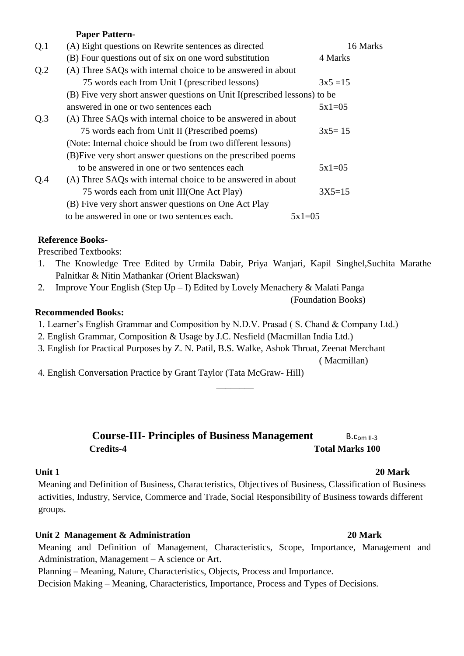### **Paper Pattern-**

| Q.1 | (A) Eight questions on Rewrite sentences as directed                      | 16 Marks   |  |
|-----|---------------------------------------------------------------------------|------------|--|
|     | (B) Four questions out of six on one word substitution                    | 4 Marks    |  |
| Q.2 | (A) Three SAQs with internal choice to be answered in about               |            |  |
|     | 75 words each from Unit I (prescribed lessons)                            | $3x5 = 15$ |  |
|     | (B) Five very short answer questions on Unit I (prescribed lessons) to be |            |  |
|     | answered in one or two sentences each                                     | $5x1=05$   |  |
| Q.3 | (A) Three SAQs with internal choice to be answered in about               |            |  |
|     | 75 words each from Unit II (Prescribed poems)                             | $3x5=15$   |  |
|     | (Note: Internal choice should be from two different lessons)              |            |  |
|     | (B) Five very short answer questions on the prescribed poems              |            |  |
|     | to be answered in one or two sentences each                               | $5x1=05$   |  |
| Q.4 | (A) Three SAQs with internal choice to be answered in about               |            |  |
|     | 75 words each from unit III(One Act Play)                                 | $3X5=15$   |  |
|     | (B) Five very short answer questions on One Act Play                      |            |  |
|     | to be answered in one or two sentences each.                              | $5x1=05$   |  |

### **Reference Books-**

Prescribed Textbooks:

- 1. The Knowledge Tree Edited by Urmila Dabir, Priya Wanjari, Kapil Singhel,Suchita Marathe Palnitkar & Nitin Mathankar (Orient Blackswan)
- 2. Improve Your English (Step Up I) Edited by Lovely Menachery & Malati Panga
	- (Foundation Books)

### **Recommended Books:**

- 1. Learner's English Grammar and Composition by N.D.V. Prasad ( S. Chand & Company Ltd.)
- 2. English Grammar, Composition & Usage by J.C. Nesfield (Macmillan India Ltd.)
- 3. English for Practical Purposes by Z. N. Patil, B.S. Walke, Ashok Throat, Zeenat Merchant

( Macmillan)

4. English Conversation Practice by Grant Taylor (Tata McGraw- Hill)

## **Course-III-** Principles of Business Management B.com II-3 **Credits-4 Total Marks 100**

\_\_\_\_\_\_\_\_

### **Unit 1** 20 Mark

Meaning and Definition of Business, Characteristics, Objectives of Business, Classification of Business activities, Industry, Service, Commerce and Trade, Social Responsibility of Business towards different groups.

## **Unit 2 Management & Administration 20 Mark**

Meaning and Definition of Management, Characteristics, Scope, Importance, Management and Administration, Management – A science or Art.

Planning – Meaning, Nature, Characteristics, Objects, Process and Importance.

Decision Making – Meaning, Characteristics, Importance, Process and Types of Decisions.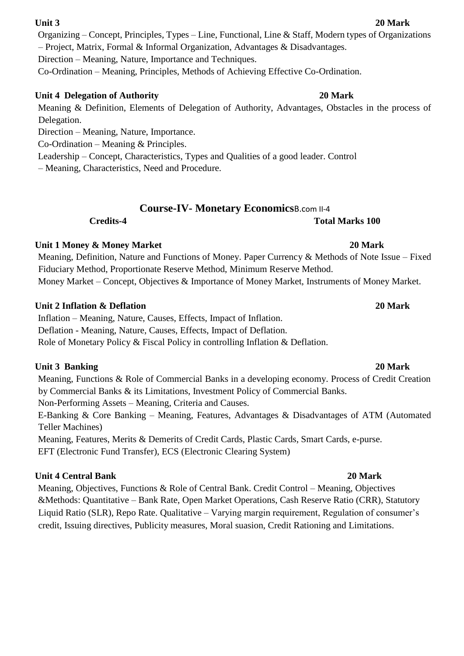Organizing – Concept, Principles, Types – Line, Functional, Line & Staff, Modern types of Organizations

– Project, Matrix, Formal & Informal Organization, Advantages & Disadvantages.

Direction – Meaning, Nature, Importance and Techniques.

Co-Ordination – Meaning, Principles, Methods of Achieving Effective Co-Ordination.

## **Unit 4 Delegation of Authority 20 Mark**

Meaning & Definition, Elements of Delegation of Authority, Advantages, Obstacles in the process of Delegation.

Direction – Meaning, Nature, Importance.

Co-Ordination – Meaning & Principles.

Leadership – Concept, Characteristics, Types and Qualities of a good leader. Control

– Meaning, Characteristics, Need and Procedure.

## **Course-IV- Monetary Economics**B.com II-4

**Credits-4 Total Marks 100** 

## **Unit 1 Money & Money Market 20 Mark 20 Mark**

Meaning, Definition, Nature and Functions of Money. Paper Currency & Methods of Note Issue – Fixed Fiduciary Method, Proportionate Reserve Method, Minimum Reserve Method. Money Market – Concept, Objectives & Importance of Money Market, Instruments of Money Market.

## **Unit 2 Inflation & Deflation 20 Mark**

Inflation – Meaning, Nature, Causes, Effects, Impact of Inflation. Deflation - Meaning, Nature, Causes, Effects, Impact of Deflation. Role of Monetary Policy & Fiscal Policy in controlling Inflation & Deflation.

## **Unit 3 Banking 20 Mark**

Meaning, Functions & Role of Commercial Banks in a developing economy. Process of Credit Creation by Commercial Banks & its Limitations, Investment Policy of Commercial Banks. Non-Performing Assets – Meaning, Criteria and Causes. E-Banking & Core Banking – Meaning, Features, Advantages & Disadvantages of ATM (Automated Teller Machines)

Meaning, Features, Merits & Demerits of Credit Cards, Plastic Cards, Smart Cards, e-purse. EFT (Electronic Fund Transfer), ECS (Electronic Clearing System)

## **Unit 4 Central Bank** 20 Mark **20 Mark**

Meaning, Objectives, Functions & Role of Central Bank. Credit Control – Meaning, Objectives &Methods: Quantitative – Bank Rate, Open Market Operations, Cash Reserve Ratio (CRR), Statutory Liquid Ratio (SLR), Repo Rate. Qualitative – Varying margin requirement, Regulation of consumer's credit, Issuing directives, Publicity measures, Moral suasion, Credit Rationing and Limitations.

## **Unit 3 20 Mark**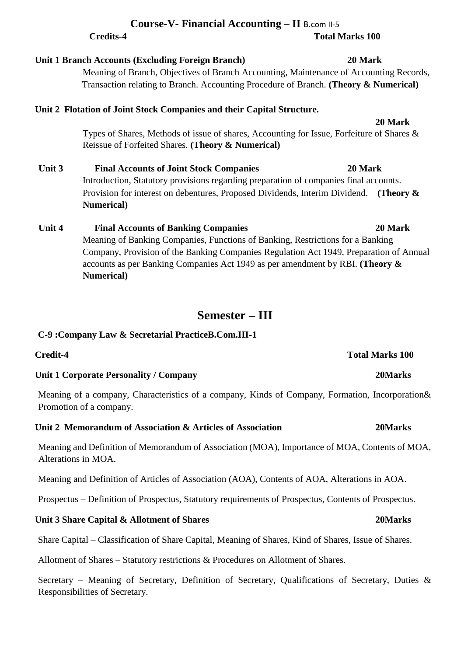|        | Unit 2 Flotation of Joint Stock Companies and their Capital Structure.                    |              |  |
|--------|-------------------------------------------------------------------------------------------|--------------|--|
|        |                                                                                           | 20 Mark      |  |
|        | Types of Shares, Methods of issue of shares, Accounting for Issue, Forfeiture of Shares & |              |  |
|        | Reissue of Forfeited Shares. (Theory & Numerical)                                         |              |  |
| Unit 3 | 20 Mark<br><b>Final Accounts of Joint Stock Companies</b>                                 |              |  |
|        | Introduction, Statutory provisions regarding preparation of companies final accounts.     |              |  |
|        | Provision for interest on debentures, Proposed Dividends, Interim Dividend.               | (Theory $\&$ |  |
|        | <b>Numerical</b> )                                                                        |              |  |
| Unit 4 | <b>Final Accounts of Banking Companies</b>                                                | 20 Mark      |  |
|        | Meaning of Banking Companies, Functions of Banking, Restrictions for a Banking            |              |  |
|        | Company, Provision of the Banking Companies Regulation Act 1949, Preparation of Annual    |              |  |
|        | accounts as per Banking Companies Act 1949 as per amendment by RBI. (Theory $\&$          |              |  |

## **Semester – III**

### **C-9 :Company Law & Secretarial PracticeB.Com.III-1**

| Unit 1 Corporate Personality / Company | 20Marks |
|----------------------------------------|---------|

**Numerical)** 

Meaning of a company, Characteristics of a company, Kinds of Company, Formation, Incorporation& Promotion of a company.

### **Unit 2 Memorandum of Association & Articles of Association 20Marks**

**Credit-4 Total Marks 100** 

Meaning and Definition of Memorandum of Association (MOA), Importance of MOA, Contents of MOA, Alterations in MOA.

Meaning and Definition of Articles of Association (AOA), Contents of AOA, Alterations in AOA.

Prospectus – Definition of Prospectus, Statutory requirements of Prospectus, Contents of Prospectus.

### **Unit 3 Share Capital & Allotment of Shares 20Marks**

Share Capital – Classification of Share Capital, Meaning of Shares, Kind of Shares, Issue of Shares.

Allotment of Shares – Statutory restrictions & Procedures on Allotment of Shares.

Secretary – Meaning of Secretary, Definition of Secretary, Qualifications of Secretary, Duties & Responsibilities of Secretary.

## **Course-V- Financial Accounting – II** B.com II-5 **Credits-4 Total Marks 100**

Meaning of Branch, Objectives of Branch Accounting, Maintenance of Accounting Records, Transaction relating to Branch. Accounting Procedure of Branch. **(Theory & Numerical)**

**Unit 1 Branch Accounts (Excluding Foreign Branch) 20 Mark**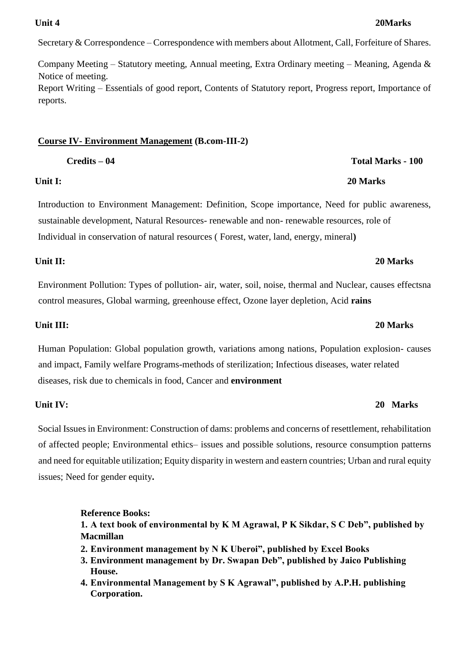Secretary & Correspondence – Correspondence with members about Allotment, Call, Forfeiture of Shares.

Company Meeting – Statutory meeting, Annual meeting, Extra Ordinary meeting – Meaning, Agenda & Notice of meeting. Report Writing – Essentials of good report, Contents of Statutory report, Progress report, Importance of reports.

### **Course IV- Environment Management (B.com-III-2)**

Introduction to Environment Management: Definition, Scope importance, Need for public awareness, sustainable development, Natural Resources- renewable and non- renewable resources, role of Individual in conservation of natural resources ( Forest, water, land, energy, mineral**)** 

### **Unit II: 20 Marks**

Environment Pollution: Types of pollution- air, water, soil, noise, thermal and Nuclear, causes effectsna control measures, Global warming, greenhouse effect, Ozone layer depletion, Acid **rains** 

Human Population: Global population growth, variations among nations, Population explosion- causes and impact, Family welfare Programs-methods of sterilization; Infectious diseases, water related diseases, risk due to chemicals in food, Cancer and **environment** 

## **Unit IV: 20 Marks**

Social Issues in Environment: Construction of dams: problems and concerns of resettlement, rehabilitation of affected people; Environmental ethics– issues and possible solutions, resource consumption patterns and need for equitable utilization; Equity disparity in western and eastern countries; Urban and rural equity issues; Need for gender equity**.** 

## **Reference Books:**

**1. A text book of environmental by K M Agrawal, P K Sikdar, S C Deb", published by Macmillan** 

- **2. Environment management by N K Uberoi", published by Excel Books**
- **3. Environment management by Dr. Swapan Deb", published by Jaico Publishing House.**
- **4. Environmental Management by S K Agrawal", published by A.P.H. publishing Corporation.**

### **Unit 4 20Marks**

## **Credits – 04 Total Marks - 100**

### **Unit I: 20 Marks**

### **Unit III: 20 Marks**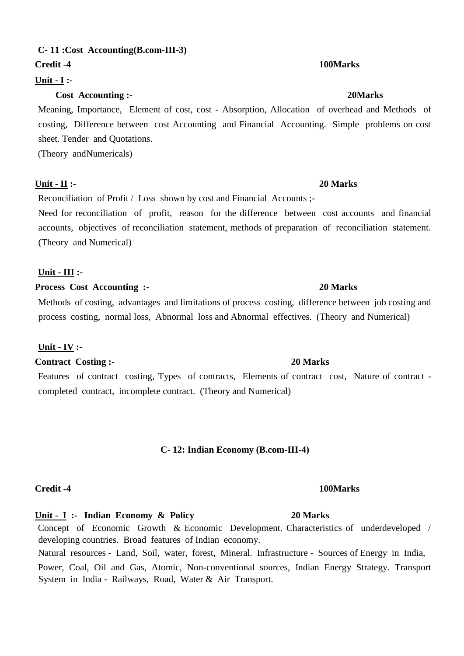## **C- 11 :Cost Accounting(B.com-III-3)**

### **Credit -4** 100Marks *Credit -4* 100Marks *Credit -4* 100Marks *Credit -4* 100Marks *Credit -4* 100Marks *Credit -4* 100Marks *Credit -4* 100Marks *Credit -4* 100Marks *Credit -4* 100Marks *Credit -4* 100

## **Unit - I :-**

## **Cost Accounting :- 20Marks**

Meaning, Importance, Element of cost, cost - Absorption, Allocation of overhead and Methods of costing, Difference between cost Accounting and Financial Accounting. Simple problems on cost sheet. Tender and Quotations.

(Theory andNumericals)

### **Unit - II :- 20 Marks**

Reconciliation of Profit / Loss shown by cost and Financial Accounts ;-

Need for reconciliation of profit, reason for the difference between cost accounts and financial accounts, objectives of reconciliation statement, methods of preparation of reconciliation statement. (Theory and Numerical)

### **Unit - III :-**

### **Process Cost Accounting :- 20 Marks**

Methods of costing, advantages and limitations of process costing, difference between job costing and process costing, normal loss, Abnormal loss and Abnormal effectives. (Theory and Numerical)

## **Unit - IV :-**

**Contract Costing :- 20 Marks** 

Features of contract costing, Types of contracts, Elements of contract cost, Nature of contract completed contract, incomplete contract. (Theory and Numerical)

### **C- 12: Indian Economy (B.com-III-4)**

### **Credit -4** 100Marks *Credit -4* 100Marks *Credit -4* 100Marks *Credit -4* 100Marks *Credit -4* 100Marks *Credit -4* 100Marks *Credit -4* 100Marks *Credit -4* 100Marks *Credit -4* 100Marks *Credit -4* 100

**Unit - I :- Indian Economy & Policy 20 Marks**

Concept of Economic Growth & Economic Development. Characteristics of underdeveloped / developing countries. Broad features of Indian economy.

Natural resources - Land, Soil, water, forest, Mineral. Infrastructure - Sources of Energy in India, Power, Coal, Oil and Gas, Atomic, Non-conventional sources, Indian Energy Strategy. Transport System in India - Railways, Road, Water & Air Transport.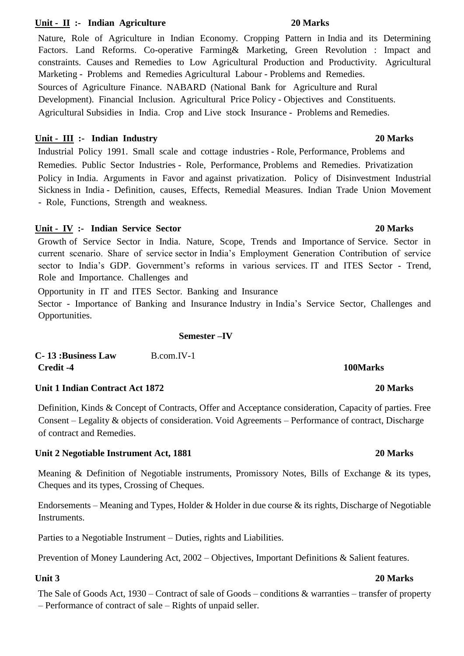## Unit - II :- Indian Agriculture 20 Marks

Nature, Role of Agriculture in Indian Economy. Cropping Pattern in India and its Determining Factors. Land Reforms. Co-operative Farming& Marketing, Green Revolution : Impact and constraints. Causes and Remedies to Low Agricultural Production and Productivity. Agricultural Marketing - Problems and Remedies Agricultural Labour - Problems and Remedies. Sources of Agriculture Finance. NABARD (National Bank for Agriculture and Rural Development). Financial Inclusion. Agricultural Price Policy - Objectives and Constituents. Agricultural Subsidies in India. Crop and Live stock Insurance - Problems and Remedies.

## **Unit - III :- Indian Industry 20 Marks**

Industrial Policy 1991. Small scale and cottage industries - Role, Performance, Problems and Remedies. Public Sector Industries - Role, Performance, Problems and Remedies. Privatization Policy in India. Arguments in Favor and against privatization. Policy of Disinvestment Industrial Sickness in India - Definition, causes, Effects, Remedial Measures. Indian Trade Union Movement - Role, Functions, Strength and weakness.

## **Unit - IV :- Indian Service Sector 20 Marks**

Growth of Service Sector in India. Nature, Scope, Trends and Importance of Service. Sector in current scenario. Share of service sector in India's Employment Generation Contribution of service sector to India's GDP. Government's reforms in various services. IT and ITES Sector - Trend, Role and Importance. Challenges and

Opportunity in IT and ITES Sector. Banking and Insurance

Sector - Importance of Banking and Insurance Industry in India's Service Sector, Challenges and Opportunities.

## **Semester –IV**

| <b>C-13: Business Law</b> | B.com.IV-1 |          |
|---------------------------|------------|----------|
| Credit -4                 |            | 100Marks |

## **Unit 1 Indian Contract Act 1872 20 Marks**

Definition, Kinds & Concept of Contracts, Offer and Acceptance consideration, Capacity of parties. Free Consent – Legality & objects of consideration. Void Agreements – Performance of contract, Discharge of contract and Remedies.

## **Unit 2 Negotiable Instrument Act, 1881 20 Marks**

Meaning & Definition of Negotiable instruments, Promissory Notes, Bills of Exchange & its types, Cheques and its types, Crossing of Cheques.

Endorsements – Meaning and Types, Holder & Holder in due course & its rights, Discharge of Negotiable Instruments.

Parties to a Negotiable Instrument – Duties, rights and Liabilities.

Prevention of Money Laundering Act, 2002 – Objectives, Important Definitions & Salient features.

The Sale of Goods Act, 1930 – Contract of sale of Goods – conditions & warranties – transfer of property – Performance of contract of sale – Rights of unpaid seller.

### **Unit 3 20 Marks**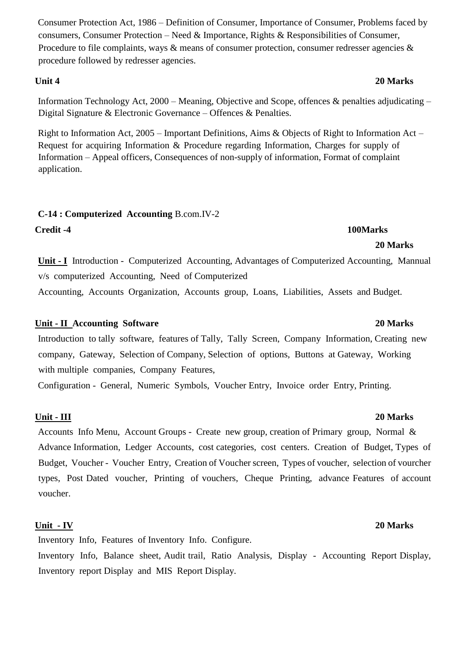Consumer Protection Act, 1986 – Definition of Consumer, Importance of Consumer, Problems faced by consumers, Consumer Protection – Need & Importance, Rights & Responsibilities of Consumer, Procedure to file complaints, ways & means of consumer protection, consumer redresser agencies & procedure followed by redresser agencies.

Information Technology Act, 2000 – Meaning, Objective and Scope, offences & penalties adjudicating – Digital Signature & Electronic Governance – Offences & Penalties.

Right to Information Act, 2005 – Important Definitions, Aims & Objects of Right to Information Act – Request for acquiring Information & Procedure regarding Information, Charges for supply of Information – Appeal officers, Consequences of non-supply of information, Format of complaint application.

### **C-14 : Computerized Accounting** B.com.IV-2

**Credit -4 100Marks** 

**Unit - I** Introduction - Computerized Accounting, Advantages of Computerized Accounting, Mannual v/s computerized Accounting, Need of Computerized

 **20 Marks** 

Accounting, Accounts Organization, Accounts group, Loans, Liabilities, Assets and Budget.

### **Unit - II Accounting Software 20 Marks**

Introduction to tally software, features of Tally, Tally Screen, Company Information, Creating new company, Gateway, Selection of Company, Selection of options, Buttons at Gateway, Working with multiple companies, Company Features,

Configuration - General, Numeric Symbols, Voucher Entry, Invoice order Entry, Printing.

### **Unit - III 20 Marks**

Accounts Info Menu, Account Groups - Create new group, creation of Primary group, Normal & Advance Information, Ledger Accounts, cost categories, cost centers. Creation of Budget, Types of Budget, Voucher - Voucher Entry, Creation of Voucher screen, Types of voucher, selection of vourcher types, Post Dated voucher, Printing of vouchers, Cheque Printing, advance Features of account voucher.

### **Unit - IV 20 Marks**

Inventory Info, Features of Inventory Info. Configure.

Inventory Info, Balance sheet, Audit trail, Ratio Analysis, Display - Accounting Report Display, Inventory report Display and MIS Report Display.

# **Unit 4 20 Marks**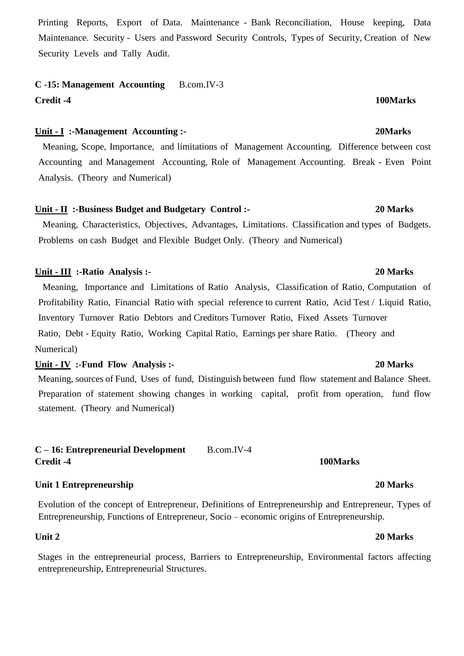Printing Reports, Export of Data. Maintenance - Bank Reconciliation, House keeping, Data Maintenance. Security - Users and Password Security Controls, Types of Security, Creation of New Security Levels and Tally Audit.

# **C -15: Management Accounting** B.com.IV-3

## **Credit -4 100Marks**

### **Unit - I :-Management Accounting :- 20Marks**

 Meaning, Scope, Importance, and limitations of Management Accounting. Difference between cost Accounting and Management Accounting, Role of Management Accounting. Break - Even Point Analysis. (Theory and Numerical)

### **Unit - II :-Business Budget and Budgetary Control :- 20 Marks**

 Meaning, Characteristics, Objectives, Advantages, Limitations. Classification and types of Budgets. Problems on cash Budget and Flexible Budget Only. (Theory and Numerical)

### **Unit - III :-Ratio Analysis :- 20 Marks**

 Meaning, Importance and Limitations of Ratio Analysis, Classification of Ratio, Computation of Profitability Ratio, Financial Ratio with special reference to current Ratio, Acid Test / Liquid Ratio, Inventory Turnover Ratio Debtors and Creditors Turnover Ratio, Fixed Assets Turnover Ratio, Debt - Equity Ratio, Working Capital Ratio, Earnings per share Ratio. (Theory and Numerical)

### **Unit - IV :-Fund Flow Analysis :- 20 Marks**

Meaning, sources of Fund, Uses of fund, Distinguish between fund flow statement and Balance Sheet. Preparation of statement showing changes in working capital, profit from operation, fund flow statement. (Theory and Numerical)

### **C – 16: Entrepreneurial Development** B.com.IV-4 **Credit -4** 100Marks *Credit -4* 100Marks *Credit -4* 100Marks *Credit -4* 100Marks *Credit -4* 100Marks *Credit -4* 100Marks *Credit -4* 100Marks *Credit -4* 100Marks *Credit -4* 100Marks *Credit -4* 100

### **Unit 1 Entrepreneurship 20 Marks**

Evolution of the concept of Entrepreneur, Definitions of Entrepreneurship and Entrepreneur, Types of Entrepreneurship, Functions of Entrepreneur, Socio – economic origins of Entrepreneurship.

Stages in the entrepreneurial process, Barriers to Entrepreneurship, Environmental factors affecting entrepreneurship, Entrepreneurial Structures.

### **Unit 2 20 Marks**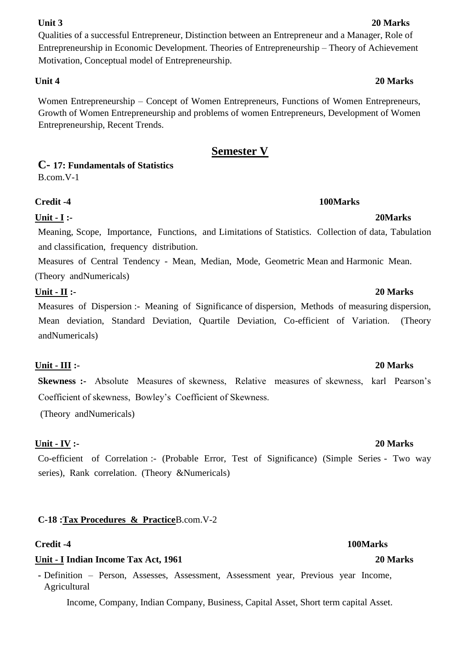Qualities of a successful Entrepreneur, Distinction between an Entrepreneur and a Manager, Role of Entrepreneurship in Economic Development. Theories of Entrepreneurship – Theory of Achievement Motivation, Conceptual model of Entrepreneurship.

Women Entrepreneurship – Concept of Women Entrepreneurs, Functions of Women Entrepreneurs, Growth of Women Entrepreneurship and problems of women Entrepreneurs, Development of Women Entrepreneurship, Recent Trends.

## **Semester V**

**C- 17: Fundamentals of Statistics** 

B.com.V-1

### **Credit -4 100Marks**

## **Unit - I :- 20Marks**

Meaning, Scope, Importance, Functions, and Limitations of Statistics. Collection of data, Tabulation and classification, frequency distribution.

Measures of Central Tendency - Mean, Median, Mode, Geometric Mean and Harmonic Mean. (Theory andNumericals)

### **Unit - II :- 20 Marks**

Measures of Dispersion :- Meaning of Significance of dispersion, Methods of measuring dispersion, Mean deviation, Standard Deviation, Quartile Deviation, Co-efficient of Variation. (Theory andNumericals)

## **Unit - III :- 20 Marks**

**Skewness :-** Absolute Measures of skewness, Relative measures of skewness, karl Pearson's Coefficient of skewness, Bowley's Coefficient of Skewness.

(Theory andNumericals)

## **Unit - IV :- 20 Marks**

Co-efficient of Correlation :- (Probable Error, Test of Significance) (Simple Series - Two way series), Rank correlation. (Theory &Numericals)

## **C-18 :Tax Procedures & Practice**B.com.V-2

## **Credit -4 100Marks**

### **Unit - I Indian Income Tax Act, 1961 20 Marks**

**-** Definition – Person, Assesses, Assessment, Assessment year, Previous year Income, Agricultural

Income, Company, Indian Company, Business, Capital Asset, Short term capital Asset.

### **Unit 3 20 Marks**

## **Unit 4 20 Marks**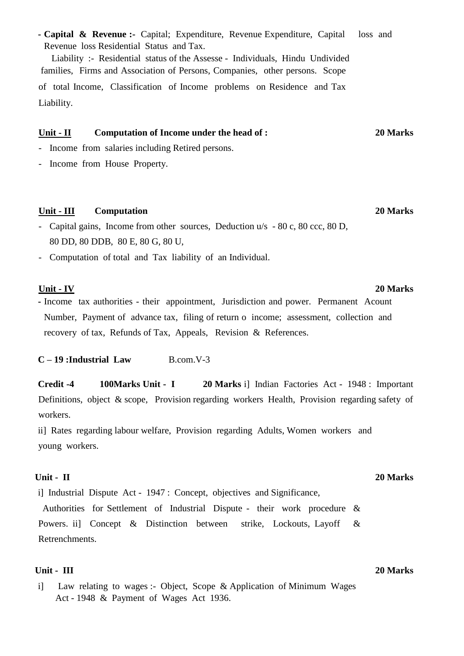**- Capital & Revenue :-** Capital; Expenditure, Revenue Expenditure, Capital loss and Revenue loss Residential Status and Tax.

Liability :- Residential status of the Assesse - Individuals, Hindu Undivided families, Firms and Association of Persons, Companies, other persons. Scope of total Income, Classification of Income problems on Residence and Tax Liability.

### **Unit - II Computation of Income under the head of : 20 Marks**

- Income from salaries including Retired persons.
- Income from House Property.

### **Unit - III Computation 20 Marks**

- Capital gains, Income from other sources, Deduction u/s 80 c, 80 ccc, 80 D, 80 DD, 80 DDB, 80 E, 80 G, 80 U,
- Computation of total and Tax liability of an Individual.

### **Unit - IV 20 Marks**

**-** Income tax authorities - their appointment, Jurisdiction and power. Permanent Acount Number, Payment of advance tax, filing of return o income; assessment, collection and recovery of tax, Refunds of Tax, Appeals, Revision & References.

### **C – 19 :Industrial Law** B.com.V-3

**Credit -4 100Marks Unit - I 20 Marks** i] Indian Factories Act - 1948 : Important Definitions, object & scope, Provision regarding workers Health, Provision regarding safety of workers.

ii] Rates regarding labour welfare, Provision regarding Adults, Women workers and young workers.

i] Industrial Dispute Act - 1947 : Concept, objectives and Significance, Authorities for Settlement of Industrial Dispute - their work procedure &

Powers. ii) Concept & Distinction between strike, Lockouts, Layoff & Retrenchments.

### **Unit - III 20 Marks**

i] Law relating to wages :- Object, Scope & Application of Minimum Wages Act - 1948 & Payment of Wages Act 1936.

### **Unit - II 20 Marks**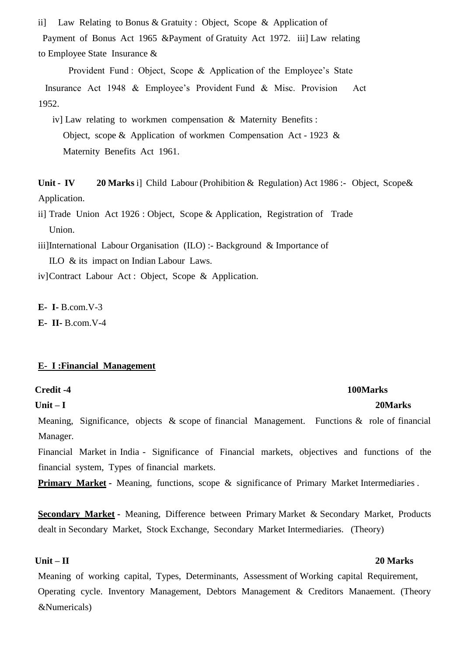ii] Law Relating to Bonus & Gratuity : Object, Scope & Application of Payment of Bonus Act 1965 &Payment of Gratuity Act 1972. iii] Law relating to Employee State Insurance &

Provident Fund : Object, Scope & Application of the Employee's State

 Insurance Act 1948 & Employee's Provident Fund & Misc. Provision Act 1952.

iv] Law relating to workmen compensation & Maternity Benefits : Object, scope & Application of workmen Compensation Act - 1923 & Maternity Benefits Act 1961.

**Unit - IV 20 Marks** i] Child Labour (Prohibition & Regulation) Act 1986 :- Object, Scope& Application.

ii] Trade Union Act 1926 : Object, Scope & Application, Registration of Trade Union.

iii]International Labour Organisation (ILO) :- Background & Importance of

ILO & its impact on Indian Labour Laws.

iv]Contract Labour Act : Object, Scope & Application.

**E- I-** B.com.V-3

**E- II-** B.com.V-4

### **E- I :Financial Management**

### **Credit -4 100Marks**

### **Unit – I 20Marks**

Meaning, Significance, objects & scope of financial Management. Functions & role of financial Manager.

Financial Market in India - Significance of Financial markets, objectives and functions of the financial system, Types of financial markets.

**Primary Market -** Meaning, functions, scope & significance of Primary Market Intermediaries.

**Secondary Market -** Meaning, Difference between Primary Market & Secondary Market, Products dealt in Secondary Market, Stock Exchange, Secondary Market Intermediaries. (Theory)

Meaning of working capital, Types, Determinants, Assessment of Working capital Requirement, Operating cycle. Inventory Management, Debtors Management & Creditors Manaement. (Theory &Numericals)

### **Unit – II 20 Marks**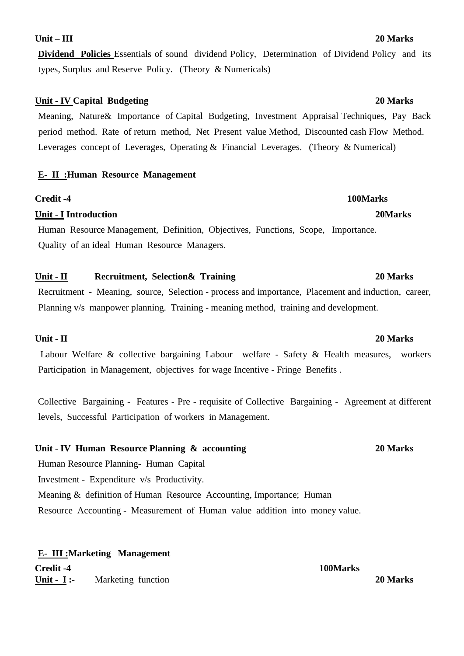### **Unit – III 20 Marks**

**Dividend Policies** Essentials of sound dividend Policy, Determination of Dividend Policy and its types, Surplus and Reserve Policy. (Theory & Numericals)

### **Unit - IV Capital Budgeting 20 Marks**

Meaning, Nature& Importance of Capital Budgeting, Investment Appraisal Techniques, Pay Back period method. Rate of return method, Net Present value Method, Discounted cash Flow Method. Leverages concept of Leverages, Operating & Financial Leverages. (Theory & Numerical)

### **E- II :Human Resource Management**

### **Credit -4 100Marks**

### **Unit - I Introduction 20Marks**

Human Resource Management, Definition, Objectives, Functions, Scope, Importance. Quality of an ideal Human Resource Managers.

### **Unit - II Recruitment, Selection& Training 20 Marks**

Recruitment - Meaning, source, Selection - process and importance, Placement and induction, career, Planning v/s manpower planning. Training - meaning method, training and development.

### **Unit - II 20 Marks**

Labour Welfare & collective bargaining Labour welfare - Safety & Health measures, workers Participation in Management, objectives for wage Incentive - Fringe Benefits .

Collective Bargaining - Features - Pre - requisite of Collective Bargaining - Agreement at different levels, Successful Participation of workers in Management.

### **Unit - IV Human Resource Planning & accounting 20 Marks**

Human Resource Planning- Human Capital Investment - Expenditure v/s Productivity. Meaning & definition of Human Resource Accounting, Importance; Human Resource Accounting - Measurement of Human value addition into money value.

**E- III :Marketing Management Credit -4 100Marks Unit - I :-** Marketing function **20 Marks**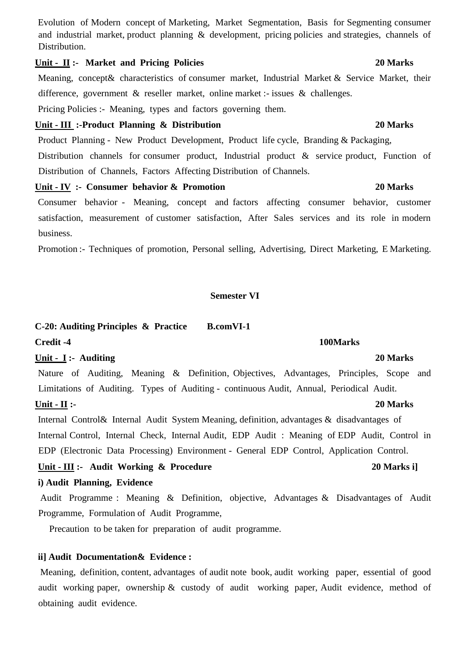## **Unit - II :- Market and Pricing Policies 20 Marks**

Meaning, concept& characteristics of consumer market, Industrial Market & Service Market, their difference, government & reseller market, online market :- issues & challenges.

Pricing Policies :- Meaning, types and factors governing them.

### **Unit - III :-Product Planning & Distribution 20 Marks**

Product Planning - New Product Development, Product life cycle, Branding & Packaging, Distribution channels for consumer product, Industrial product & service product, Function of Distribution of Channels, Factors Affecting Distribution of Channels.

### **Unit - IV :- Consumer behavior & Promotion 20 Marks**

Consumer behavior - Meaning, concept and factors affecting consumer behavior, customer satisfaction, measurement of customer satisfaction, After Sales services and its role in modern business.

Promotion :- Techniques of promotion, Personal selling, Advertising, Direct Marketing, E Marketing.

### **Semester VI**

## **C-20: Auditing Principles & Practice B.comVI-1**

Nature of Auditing, Meaning & Definition, Objectives, Advantages, Principles, Scope and Limitations of Auditing. Types of Auditing - continuous Audit, Annual, Periodical Audit.

**Credit -4 100Marks** 

### **Unit - II :- 20 Marks**

Internal Control& Internal Audit System Meaning, definition, advantages & disadvantages of Internal Control, Internal Check, Internal Audit, EDP Audit : Meaning of EDP Audit, Control in EDP (Electronic Data Processing) Environment - General EDP Control, Application Control.

### Unit - **III** :- Audit Working & Procedure 20 Marks i]

### **i) Audit Planning, Evidence**

Audit Programme : Meaning & Definition, objective, Advantages & Disadvantages of Audit Programme, Formulation of Audit Programme,

Precaution to be taken for preparation of audit programme.

### **ii] Audit Documentation& Evidence :**

Meaning, definition, content, advantages of audit note book, audit working paper, essential of good audit working paper, ownership & custody of audit working paper, Audit evidence, method of obtaining audit evidence.

# **Unit - I :- Auditing 20 Marks**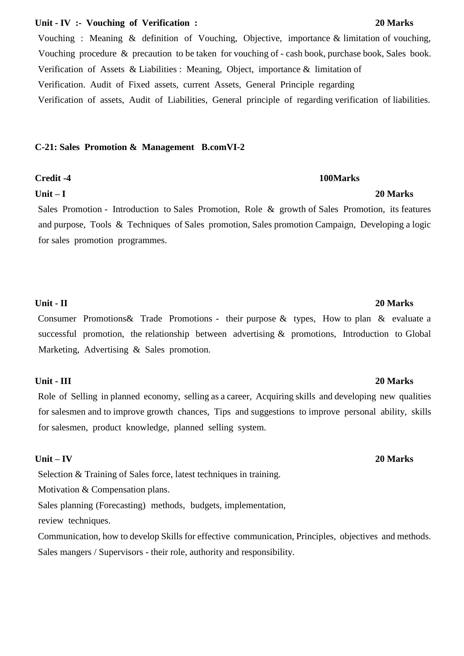### **Unit - IV :- Vouching of Verification : 20 Marks**

Vouching : Meaning & definition of Vouching, Objective, importance & limitation of vouching, Vouching procedure & precaution to be taken for vouching of - cash book, purchase book, Sales book. Verification of Assets & Liabilities : Meaning, Object, importance & limitation of Verification. Audit of Fixed assets, current Assets, General Principle regarding Verification of assets, Audit of Liabilities, General principle of regarding verification of liabilities.

### **C-21: Sales Promotion & Management B.comVI-2**

### **Unit – I 20 Marks**

Sales Promotion - Introduction to Sales Promotion, Role & growth of Sales Promotion, its features and purpose, Tools & Techniques of Sales promotion, Sales promotion Campaign, Developing a logic for sales promotion programmes.

### **Unit - II 20 Marks**

Consumer Promotions& Trade Promotions - their purpose & types, How to plan & evaluate a successful promotion, the relationship between advertising & promotions, Introduction to Global Marketing, Advertising & Sales promotion.

### **Unit - III 20 Marks**

Role of Selling in planned economy, selling as a career, Acquiring skills and developing new qualities for salesmen and to improve growth chances, Tips and suggestions to improve personal ability, skills for salesmen, product knowledge, planned selling system.

### **Unit – IV 20 Marks**

Selection & Training of Sales force, latest techniques in training.

Motivation & Compensation plans.

Sales planning (Forecasting) methods, budgets, implementation,

review techniques.

Communication, how to develop Skills for effective communication, Principles, objectives and methods. Sales mangers / Supervisors - their role, authority and responsibility.

### **Credit -4 100Marks**